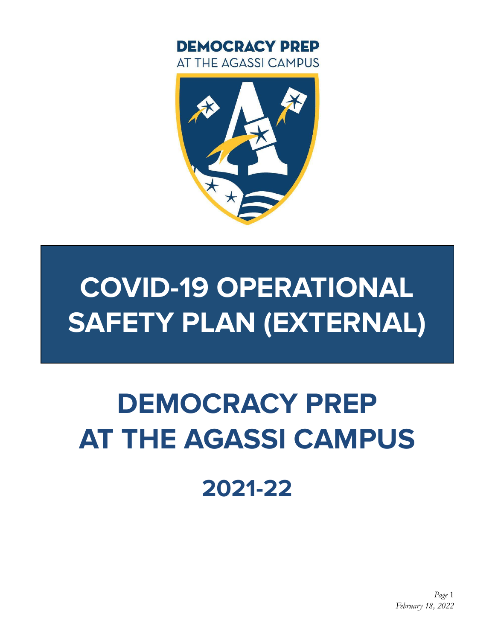

# **2021-22**

# **DEMOCRACY PREP AT THE AGASSI CAMPUS**

# **COVID-19 OPERATIONAL SAFETY PLAN (EXTERNAL)**



**DEMOCRACY PREP** AT THE AGASSI CAMPUS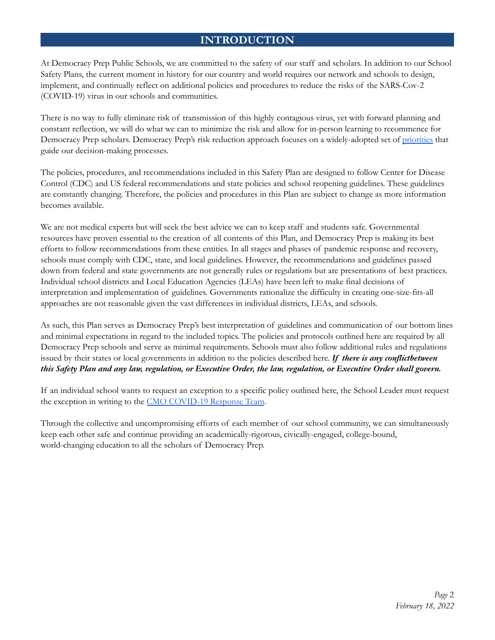# **INTRODUCTION**

At Democracy Prep Public Schools, we are committed to the safety of our staff and scholars. In addition to our School Safety Plans, the current moment in history for our country and world requires our network and schools to design, implement, and continually reflect on additional policies and procedures to reduce the risks of the SARS-Cov-2 (COVID-19) virus in our schools and communities.

There is no way to fully eliminate risk of transmission of this highly contagious virus, yet with forward planning and constant reflection, we will do what we can to minimize the risk and allow for in-person learning to recommence for Democracy Prep scholars. Democracy Prep's risk reduction approach focuses on a widely-adopted set of priorities that guide our decision-making processes.

The policies, procedures, and recommendations included in this Safety Plan are designed to follow Center for Disease Control (CDC) and US federal recommendations and state policies and school reopening guidelines. These guidelines are constantly changing. Therefore, the policies and procedures in this Plan are subject to change as more information becomes available.

We are not medical experts but will seek the best advice we can to keep staff and students safe. Governmental resources have proven essential to the creation of all contents of this Plan, and Democracy Prep is making its best efforts to follow recommendations from these entities. In all stages and phases of pandemic response and recovery, schools must comply with CDC, state, and local guidelines. However, the recommendations and guidelines passed down from federal and state governments are not generally rules or regulations but are presentations of best practices. Individual school districts and Local Education Agencies (LEAs) have been left to make final decisions of interpretation and implementation of guidelines. Governments rationalize the difficulty in creating one-size-fits-all approaches are not reasonable given the vast differences in individual districts, LEAs, and schools.

As such, this Plan serves as Democracy Prep's best interpretation of guidelines and communication of our bottom lines and minimal expectations in regard to the included topics. The policies and protocols outlined here are required by all Democracy Prep schools and serve as minimal requirements. Schools must also follow additional rules and regulations issued by their states or local governments in addition to the policies described here. *If there is any conflictbetween* this Safety Plan and any law, regulation, or Executive Order, the law, regulation, or Executive Order shall govern.

If an individual school wants to request an exception to a specific policy outlined here, the School Leader must request the exception in writing to the CMO COVID-19 Response Team.

Through the collective and uncompromising efforts of each member of our school community, we can simultaneously keep each other safe and continue providing an academically-rigorous, civically-engaged, college-bound, world-changing education to all the scholars of Democracy Prep.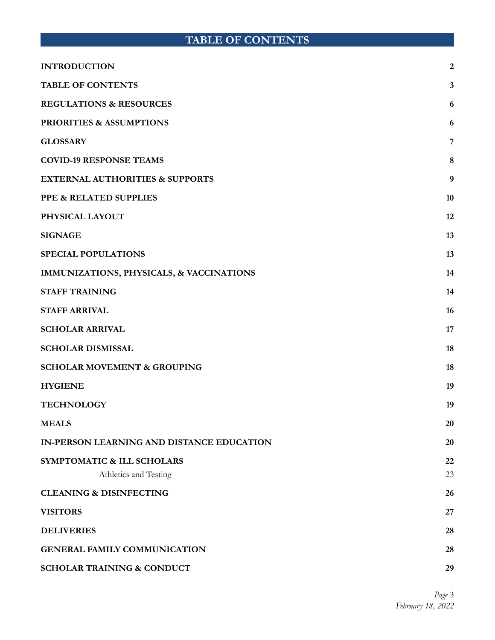# **TABLE OF CONTENTS**

| <b>INTRODUCTION</b>                        | $\overline{2}$ |
|--------------------------------------------|----------------|
| <b>TABLE OF CONTENTS</b>                   | 3              |
| <b>REGULATIONS &amp; RESOURCES</b>         | 6              |
| <b>PRIORITIES &amp; ASSUMPTIONS</b>        | 6              |
| <b>GLOSSARY</b>                            | 7              |
| <b>COVID-19 RESPONSE TEAMS</b>             | 8              |
| <b>EXTERNAL AUTHORITIES &amp; SUPPORTS</b> | 9              |
| PPE & RELATED SUPPLIES                     | 10             |
| PHYSICAL LAYOUT                            | 12             |
| <b>SIGNAGE</b>                             | 13             |
| <b>SPECIAL POPULATIONS</b>                 | 13             |
| IMMUNIZATIONS, PHYSICALS, & VACCINATIONS   | 14             |
| <b>STAFF TRAINING</b>                      | 14             |
| <b>STAFF ARRIVAL</b>                       | 16             |
| <b>SCHOLAR ARRIVAL</b>                     | 17             |
| <b>SCHOLAR DISMISSAL</b>                   | 18             |
| <b>SCHOLAR MOVEMENT &amp; GROUPING</b>     | 18             |
| <b>HYGIENE</b>                             | 19             |
| <b>TECHNOLOGY</b>                          | 19             |
| <b>MEALS</b>                               | 20             |
| IN-PERSON LEARNING AND DISTANCE EDUCATION  | 20             |
| SYMPTOMATIC & ILL SCHOLARS                 | 22             |
| Athletics and Testing                      | 23             |
| <b>CLEANING &amp; DISINFECTING</b>         | 26             |
| <b>VISITORS</b>                            | 27             |
| <b>DELIVERIES</b>                          | 28             |
| <b>GENERAL FAMILY COMMUNICATION</b>        | 28             |
| <b>SCHOLAR TRAINING &amp; CONDUCT</b>      | 29             |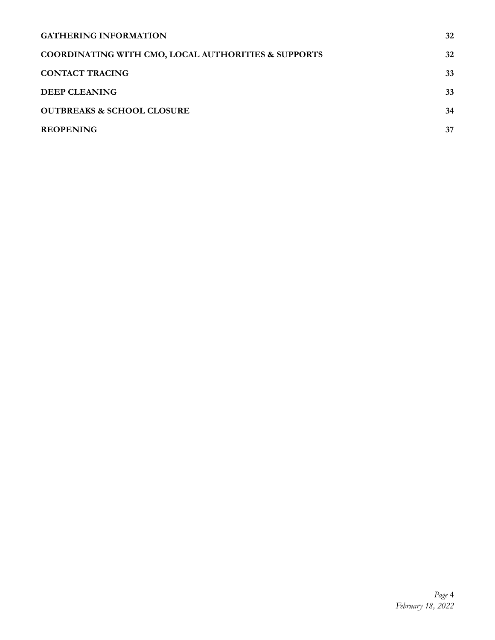| <b>GATHERING INFORMATION</b>                                   | 32 |
|----------------------------------------------------------------|----|
| <b>COORDINATING WITH CMO, LOCAL AUTHORITIES &amp; SUPPORTS</b> | 32 |
| <b>CONTACT TRACING</b>                                         | 33 |
| <b>DEEP CLEANING</b>                                           | 33 |
| <b>OUTBREAKS &amp; SCHOOL CLOSURE</b>                          | 34 |
| <b>REOPENING</b>                                               | 37 |
|                                                                |    |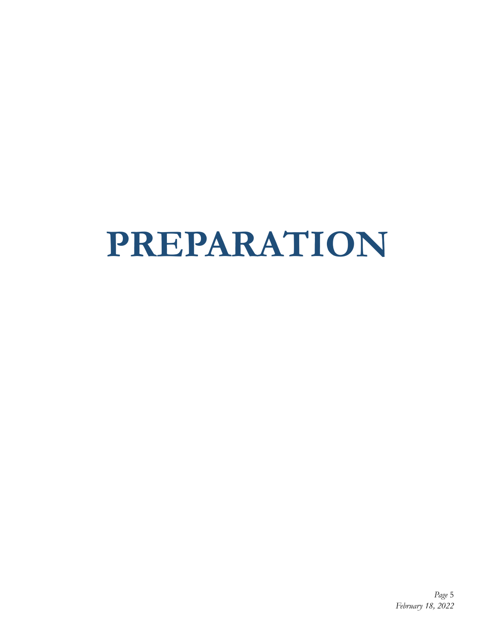# **PREPARATION**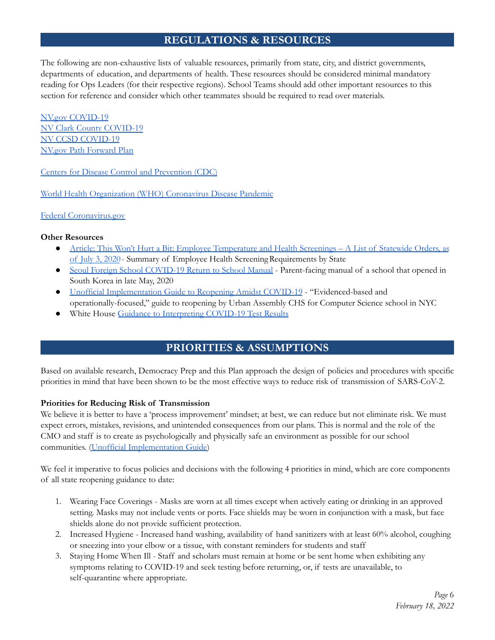# **REGULATIONS & RESOURCES**

The following are non-exhaustive lists of valuable resources, primarily from state, city, and district governments, departments of education, and departments of health. These resources should be considered minimal mandatory reading for Ops Leaders (for their respective regions). School Teams should add other important resources to this section for reference and consider which other teammates should be required to read over materials.

NV.gov COVID-19 NV Clark County COVID-19 NV CCSD COVID-19 NV.gov Path Forward Plan

Centers for Disease Control and Prevention (CDC)

World Health Organization (WHO) Coronavirus Disease Pandemic

Federal Coronavirus.gov

#### **Other Resources**

- Article: This Won't Hurt a Bit: Employee Temperature and Health Screenings A List of Statewide Orders, as of July 3, 2020 - Summary of Employee Health ScreeningRequirements by State
- Seoul Foreign School COVID-19 Return to School Manual Parent-facing manual of a school that opened in South Korea in late May, 2020
- Unofficial Implementation Guide to Reopening Amidst COVID-19 "Evidenced-based and operationally-focused," guide to reopening by Urban Assembly CHS for Computer Science school in NYC
- White House Guidance to Interpreting COVID-19 Test Results

# **PRIORITIES & ASSUMPTIONS**

Based on available research, Democracy Prep and this Plan approach the design of policies and procedures with specific priorities in mind that have been shown to be the most effective ways to reduce risk of transmission of SARS-CoV-2.

#### **Priorities for Reducing Risk of Transmission**

We believe it is better to have a 'process improvement' mindset; at best, we can reduce but not eliminate risk. We must expect errors, mistakes, revisions, and unintended consequences from our plans. This is normal and the role of the CMO and staff is to create as psychologically and physically safe an environment as possible for our school communities. (Unofficial Implementation Guide)

We feel it imperative to focus policies and decisions with the following 4 priorities in mind, which are core components of all state reopening guidance to date:

- 1. Wearing Face Coverings Masks are worn at all times except when actively eating or drinking in an approved setting. Masks may not include vents or ports. Face shields may be worn in conjunction with a mask, but face shields alone do not provide sufficient protection.
- 2. Increased Hygiene Increased hand washing, availability of hand sanitizers with at least 60% alcohol, coughing or sneezing into your elbow or a tissue, with constant reminders for students and staff
- 3. Staying Home When Ill Staff and scholars must remain at home or be sent home when exhibiting any symptoms relating to COVID-19 and seek testing before returning, or, if tests are unavailable, to self-quarantine where appropriate.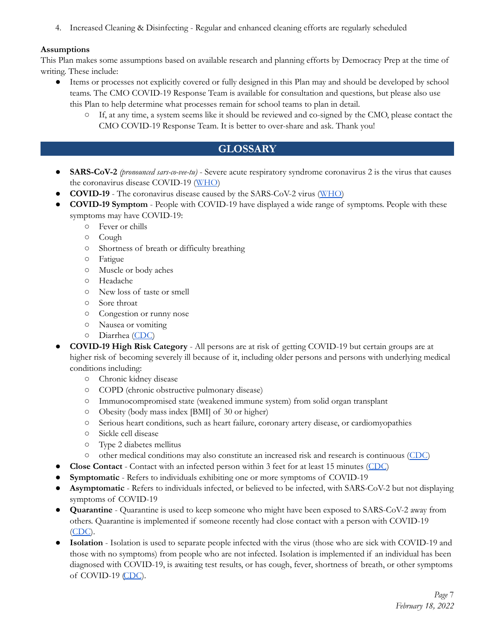4. Increased Cleaning & Disinfecting - Regular and enhanced cleaning efforts are regularly scheduled

#### **Assumptions**

This Plan makes some assumptions based on available research and planning efforts by Democracy Prep at the time of writing. These include:

- Items or processes not explicitly covered or fully designed in this Plan may and should be developed by school teams. The CMO COVID-19 Response Team is available for consultation and questions, but please also use this Plan to help determine what processes remain for school teams to plan in detail.
	- If, at any time, a system seems like it should be reviewed and co-signed by the CMO, please contact the CMO COVID-19 Response Team. It is better to over-share and ask. Thank you!

# **GLOSSARY**

- **SARS-CoV-2** *(pronounced sars-co-vee-tu)* Severe acute respiratory syndrome coronavirus 2 is the virus that causes the coronavirus disease COVID-19 (WHO)
- **COVID-19** The coronavirus disease caused by the SARS-CoV-2 virus (WHO)
- **COVID-19 Symptom** People with COVID-19 have displayed a wide range of symptoms. People with these symptoms may have COVID-19:
	- Fever or chills
	- Cough
	- Shortness of breath or difficulty breathing
	- Fatigue
	- Muscle or body aches
	- Headache
	- New loss of taste or smell
	- Sore throat
	- Congestion or runny nose
	- Nausea or vomiting
	- Diarrhea (CDC)
- **COVID-19 High Risk Category** All persons are at risk of getting COVID-19 but certain groups are at higher risk of becoming severely ill because of it, including older persons and persons with underlying medical conditions including:
	- Chronic kidney disease
	- COPD (chronic obstructive pulmonary disease)
	- Immunocompromised state (weakened immune system) from solid organ transplant
	- Obesity (body mass index [BMI] of 30 or higher)
	- Serious heart conditions, such as heart failure, coronary artery disease, or cardiomyopathies
	- Sickle cell disease
	- Type 2 diabetes mellitus
	- other medical conditions may also constitute an increased risk and research is continuous (CDC)
- **Close Contact** Contact with an infected person within 3 feet for at least 15 minutes (CDC)
- **Symptomatic** Refers to individuals exhibiting one or more symptoms of COVID-19
- **Asymptomatic** Refers to individuals infected, or believed to be infected, with SARS-CoV-2 but not displaying symptoms of COVID-19
- **Quarantine** Quarantine is used to keep someone who might have been exposed to SARS-CoV-2 away from others. Quarantine is implemented if someone recently had close contact with a person with COVID-19 (CDC).
- **Isolation** Isolation is used to separate people infected with the virus (those who are sick with COVID-19 and those with no symptoms) from people who are not infected. Isolation is implemented if an individual has been diagnosed with COVID-19, is awaiting test results, or has cough, fever, shortness of breath, or other symptoms of COVID-19 (CDC).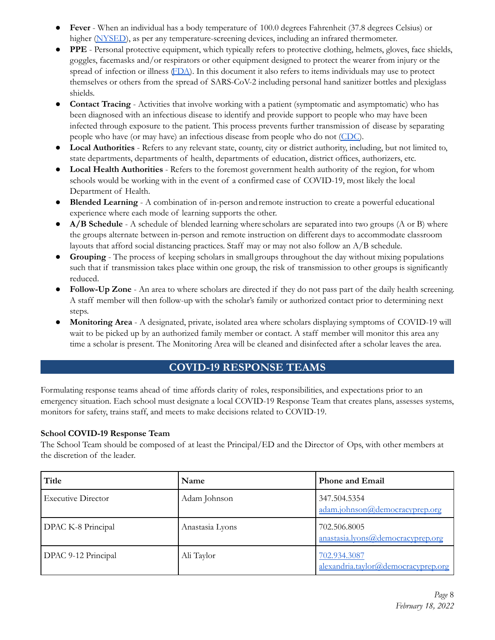- **Fever** When an individual has a body temperature of 100.0 degrees Fahrenheit (37.8 degrees Celsius) or higher (NYSED), as per any temperature-screening devices, including an infrared thermometer.
- **PPE** Personal protective equipment, which typically refers to protective clothing, helmets, gloves, face shields, goggles, facemasks and/or respirators or other equipment designed to protect the wearer from injury or the spread of infection or illness (FDA). In this document it also refers to items individuals may use to protect themselves or others from the spread of SARS-CoV-2 including personal hand sanitizer bottles and plexiglass shields.
- **Contact Tracing** Activities that involve working with a patient (symptomatic and asymptomatic) who has been diagnosed with an infectious disease to identify and provide support to people who may have been infected through exposure to the patient. This process prevents further transmission of disease by separating people who have (or may have) an infectious disease from people who do not (CDC).
- **Local Authorities** Refers to any relevant state, county, city or district authority, including, but not limited to, state departments, departments of health, departments of education, district offices, authorizers, etc.
- **● Local Health Authorities** Refers to the foremost government health authority of the region, for whom schools would be working with in the event of a confirmed case of COVID-19, most likely the local Department of Health.
- **Blended Learning** A combination of in-person andremote instruction to create a powerful educational experience where each mode of learning supports the other.
- **A/B Schedule** A schedule of blended learning where scholars are separated into two groups (A or B) where the groups alternate between in-person and remote instruction on different days to accommodate classroom layouts that afford social distancing practices. Staff may or may not also follow an A/B schedule.
- **Grouping** The process of keeping scholars in small groups throughout the day without mixing populations such that if transmission takes place within one group, the risk of transmission to other groups is significantly reduced.
- Follow-Up Zone An area to where scholars are directed if they do not pass part of the daily health screening. A staff member will then follow-up with the scholar's family or authorized contact prior to determining next steps.
- **Monitoring Area** A designated, private, isolated area where scholars displaying symptoms of COVID-19 will wait to be picked up by an authorized family member or contact. A staff member will monitor this area any time a scholar is present. The Monitoring Area will be cleaned and disinfected after a scholar leaves the area.

# **COVID-19 RESPONSE TEAMS**

Formulating response teams ahead of time affords clarity of roles, responsibilities, and expectations prior to an emergency situation. Each school must designate a local COVID-19 Response Team that creates plans, assesses systems, monitors for safety, trains staff, and meets to make decisions related to COVID-19.

#### **School COVID-19 Response Team**

The School Team should be composed of at least the Principal/ED and the Director of Ops, with other members at the discretion of the leader.

| Title                     | Name            | <b>Phone and Email</b>                              |
|---------------------------|-----------------|-----------------------------------------------------|
| <b>Executive Director</b> | Adam Johnson    | 347.504.5354<br>adam.johnson@democracyprep.org      |
| DPAC K-8 Principal        | Anastasia Lyons | 702.506.8005<br>anastasia.lyons@democracyprep.org   |
| DPAC 9-12 Principal       | Ali Taylor      | 702.934.3087<br>alexandria.taylor@democracyprep.org |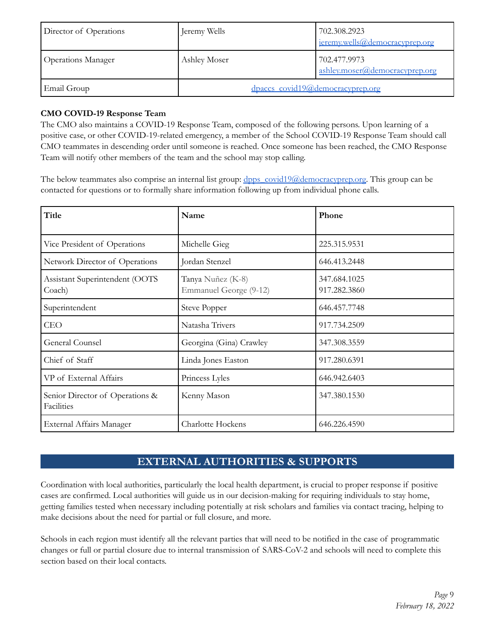| Director of Operations    | Jeremy Wells                     | 702.308.2923<br>jeremy.wells@democracyprep.org |
|---------------------------|----------------------------------|------------------------------------------------|
| <b>Operations Manager</b> | Ashley Moser                     | 702.477.9973<br>ashley.moser@democracyprep.org |
| Email Group               | dpaccs_covid19@democracyprep.org |                                                |

#### **CMO COVID-19 Response Team**

The CMO also maintains a COVID-19 Response Team, composed of the following persons. Upon learning of a positive case, or other COVID-19-related emergency, a member of the School COVID-19 Response Team should call CMO teammates in descending order until someone is reached. Once someone has been reached, the CMO Response Team will notify other members of the team and the school may stop calling.

The below teammates also comprise an internal list group: dpps\_covid19@democracyprep.org. This group can be contacted for questions or to formally share information following up from individual phone calls.

| Title                                         | Name                                        | Phone                        |
|-----------------------------------------------|---------------------------------------------|------------------------------|
| Vice President of Operations                  | Michelle Gieg                               | 225.315.9531                 |
| Network Director of Operations                | Jordan Stenzel                              | 646.413.2448                 |
| Assistant Superintendent (OOTS<br>Coach)      | Tanya Nuñez (K-8)<br>Emmanuel George (9-12) | 347.684.1025<br>917.282.3860 |
| Superintendent                                | <b>Steve Popper</b>                         | 646.457.7748                 |
| <b>CEO</b>                                    | Natasha Trivers                             | 917.734.2509                 |
| General Counsel                               | Georgina (Gina) Crawley                     | 347.308.3559                 |
| Chief of Staff                                | Linda Jones Easton                          | 917.280.6391                 |
| VP of External Affairs                        | Princess Lyles                              | 646.942.6403                 |
| Senior Director of Operations &<br>Facilities | Kenny Mason                                 | 347.380.1530                 |
| External Affairs Manager                      | Charlotte Hockens                           | 646.226.4590                 |

# **EXTERNAL AUTHORITIES & SUPPORTS**

Coordination with local authorities, particularly the local health department, is crucial to proper response if positive cases are confirmed. Local authorities will guide us in our decision-making for requiring individuals to stay home, getting families tested when necessary including potentially at risk scholars and families via contact tracing, helping to make decisions about the need for partial or full closure, and more.

Schools in each region must identify all the relevant parties that will need to be notified in the case of programmatic changes or full or partial closure due to internal transmission of SARS-CoV-2 and schools will need to complete this section based on their local contacts.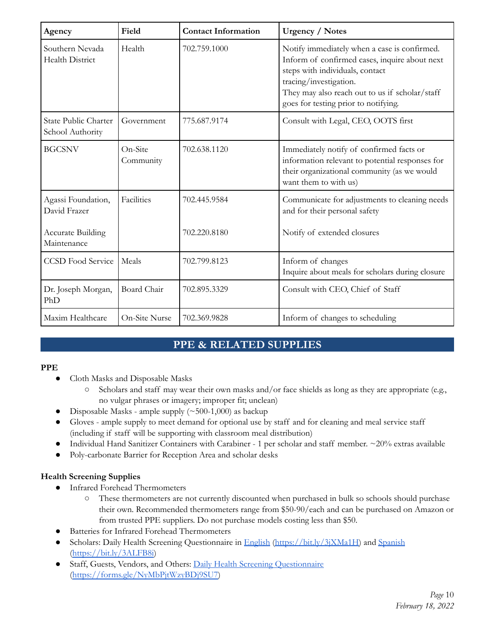| Agency                                    | Field                | <b>Contact Information</b> | <b>Urgency / Notes</b>                                                                                                                                                                                                                               |
|-------------------------------------------|----------------------|----------------------------|------------------------------------------------------------------------------------------------------------------------------------------------------------------------------------------------------------------------------------------------------|
| Southern Nevada<br><b>Health District</b> | Health               | 702.759.1000               | Notify immediately when a case is confirmed.<br>Inform of confirmed cases, inquire about next<br>steps with individuals, contact<br>tracing/investigation.<br>They may also reach out to us if scholar/staff<br>goes for testing prior to notifying. |
| State Public Charter<br>School Authority  | Government           | 775.687.9174               | Consult with Legal, CEO, OOTS first                                                                                                                                                                                                                  |
| <b>BGCSNV</b>                             | On-Site<br>Community | 702.638.1120               | Immediately notify of confirmed facts or<br>information relevant to potential responses for<br>their organizational community (as we would<br>want them to with us)                                                                                  |
| Agassi Foundation,<br>David Frazer        | Facilities           | 702.445.9584               | Communicate for adjustments to cleaning needs<br>and for their personal safety                                                                                                                                                                       |
| <b>Accurate Building</b><br>Maintenance   |                      | 702.220.8180               | Notify of extended closures                                                                                                                                                                                                                          |
| <b>CCSD</b> Food Service                  | Meals                | 702.799.8123               | Inform of changes<br>Inquire about meals for scholars during closure                                                                                                                                                                                 |
| Dr. Joseph Morgan,<br>PhD                 | Board Chair          | 702.895.3329               | Consult with CEO, Chief of Staff                                                                                                                                                                                                                     |
| Maxim Healthcare                          | On-Site Nurse        | 702.369.9828               | Inform of changes to scheduling                                                                                                                                                                                                                      |

# **PPE & RELATED SUPPLIES**

#### **PPE**

- Cloth Masks and Disposable Masks
	- Scholars and staff may wear their own masks and/or face shields as long as they are appropriate (e.g., no vulgar phrases or imagery; improper fit; unclean)
- Disposable Masks ample supply  $(\sim 500-1,000)$  as backup
- Gloves ample supply to meet demand for optional use by staff and for cleaning and meal service staff (including if staff will be supporting with classroom meal distribution)
- Individual Hand Sanitizer Containers with Carabiner 1 per scholar and staff member.  $\sim$ 20% extras available
- Poly-carbonate Barrier for Reception Area and scholar desks

#### **Health Screening Supplies**

- Infrared Forehead Thermometers
	- These thermometers are not currently discounted when purchased in bulk so schools should purchase their own. Recommended thermometers range from \$50-90/each and can be purchased on Amazon or from trusted PPE suppliers. Do not purchase models costing less than \$50.
- Batteries for Infrared Forehead Thermometers
- Scholars: Daily Health Screening Questionnaire in English (https://bit.ly/3jXMa1H) and Spanish (https://bit.ly/3ALFB8i)
- Staff, Guests, Vendors, and Others: Daily Health Screening Questionnaire (https://forms.gle/NyMbPjtWzyBDj9SU7)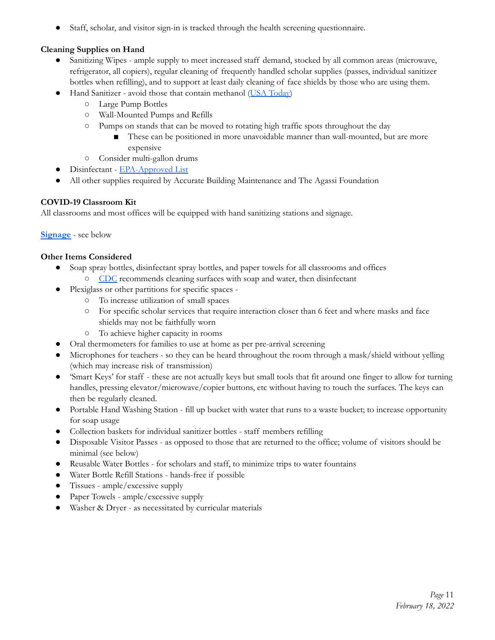● Staff, scholar, and visitor sign-in is tracked through the health screening questionnaire.

#### **Cleaning Supplies on Hand**

- Sanitizing Wipes ample supply to meet increased staff demand, stocked by all common areas (microwave, refrigerator, all copiers), regular cleaning of frequently handled scholar supplies (passes, individual sanitizer bottles when refilling), and to support at least daily cleaning of face shields by those who are using them.
- Hand Sanitizer avoid those that contain methanol (USA Today)
	- Large Pump Bottles
	- Wall-Mounted Pumps and Refills
	- Pumps on stands that can be moved to rotating high traffic spots throughout the day
		- These can be positioned in more unavoidable manner than wall-mounted, but are more expensive
	- Consider multi-gallon drums
- Disinfectant EPA-Approved List
- All other supplies required by Accurate Building Maintenance and The Agassi Foundation

#### **COVID-19 Classroom Kit**

All classrooms and most offices will be equipped with hand sanitizing stations and signage.

#### **Signage** - see below

#### **Other Items Considered**

- Soap spray bottles, disinfectant spray bottles, and paper towels for all classrooms and offices ○ CDC recommends cleaning surfaces with soap and water, then disinfectant
	- Plexiglass or other partitions for specific spaces -
		- To increase utilization of small spaces
		- For specific scholar services that require interaction closer than 6 feet and where masks and face shields may not be faithfully worn
		- To achieve higher capacity in rooms
- Oral thermometers for families to use at home as per pre-arrival screening
- Microphones for teachers so they can be heard throughout the room through a mask/shield without yelling (which may increase risk of transmission)
- 'Smart Keys' for staff these are not actually keys but small tools that fit around one finger to allow for turning handles, pressing elevator/microwave/copier buttons, etc without having to touch the surfaces. The keys can then be regularly cleaned.
- Portable Hand Washing Station fill up bucket with water that runs to a waste bucket; to increase opportunity for soap usage
- Collection baskets for individual sanitizer bottles staff members refilling
- Disposable Visitor Passes as opposed to those that are returned to the office; volume of visitors should be minimal (see below)
- Reusable Water Bottles for scholars and staff, to minimize trips to water fountains
- Water Bottle Refill Stations hands-free if possible
- Tissues ample/excessive supply
- Paper Towels ample/excessive supply
- Washer & Dryer as necessitated by curricular materials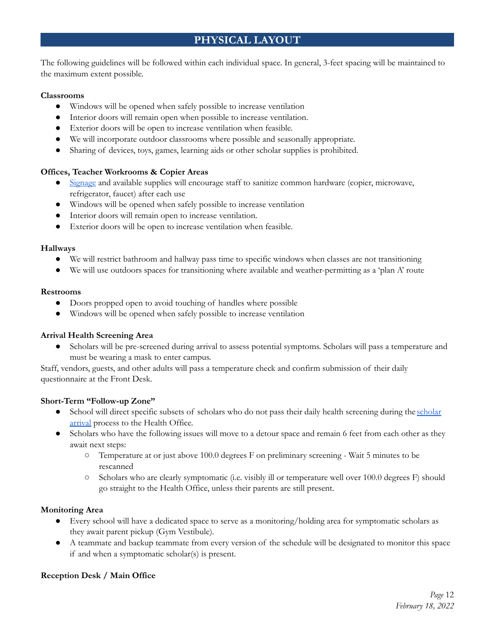# **PHYSICAL LAYOUT**

The following guidelines will be followed within each individual space. In general, 3-feet spacing will be maintained to the maximum extent possible.

#### **Classrooms**

- Windows will be opened when safely possible to increase ventilation
- Interior doors will remain open when possible to increase ventilation.
- Exterior doors will be open to increase ventilation when feasible.
- We will incorporate outdoor classrooms where possible and seasonally appropriate.
- Sharing of devices, toys, games, learning aids or other scholar supplies is prohibited.

#### **Offices, Teacher Workrooms & Copier Areas**

- Signage and available supplies will encourage staff to sanitize common hardware (copier, microwave, refrigerator, faucet) after each use
- Windows will be opened when safely possible to increase ventilation
- Interior doors will remain open to increase ventilation.
- Exterior doors will be open to increase ventilation when feasible.

#### **Hallways**

- We will restrict bathroom and hallway pass time to specific windows when classes are not transitioning
- We will use outdoors spaces for transitioning where available and weather-permitting as a 'plan A' route

#### **Restrooms**

- Doors propped open to avoid touching of handles where possible
- Windows will be opened when safely possible to increase ventilation

#### **Arrival Health Screening Area**

● Scholars will be pre-screened during arrival to assess potential symptoms. Scholars will pass a temperature and must be wearing a mask to enter campus.

Staff, vendors, guests, and other adults will pass a temperature check and confirm submission of their daily questionnaire at the Front Desk.

#### **Short-Term "Follow-up Zone"**

- School will direct specific subsets of scholars who do not pass their daily health screening during the scholar arrival process to the Health Office.
- Scholars who have the following issues will move to a detour space and remain 6 feet from each other as they await next steps:
	- Temperature at or just above 100.0 degrees F on preliminary screening Wait 5 minutes to be rescanned
	- Scholars who are clearly symptomatic (i.e. visibly ill or temperature well over 100.0 degrees F) should go straight to the Health Office, unless their parents are still present.

#### **Monitoring Area**

- Every school will have a dedicated space to serve as a monitoring/holding area for symptomatic scholars as they await parent pickup (Gym Vestibule).
- A teammate and backup teammate from every version of the schedule will be designated to monitor this space if and when a symptomatic scholar(s) is present.

#### **Reception Desk / Main Office**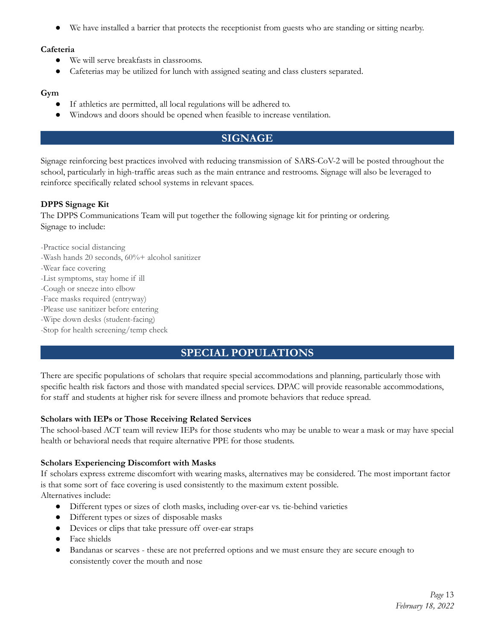We have installed a barrier that protects the receptionist from guests who are standing or sitting nearby.

#### **Cafeteria**

- We will serve breakfasts in classrooms.
- Cafeterias may be utilized for lunch with assigned seating and class clusters separated.

#### **Gym**

- If athletics are permitted, all local regulations will be adhered to.
- Windows and doors should be opened when feasible to increase ventilation.

# **SIGNAGE**

Signage reinforcing best practices involved with reducing transmission of SARS-CoV-2 will be posted throughout the school, particularly in high-traffic areas such as the main entrance and restrooms. Signage will also be leveraged to reinforce specifically related school systems in relevant spaces.

#### **DPPS Signage Kit**

The DPPS Communications Team will put together the following signage kit for printing or ordering. Signage to include:

-Practice social distancing

- -Wash hands 20 seconds, 60%+ alcohol sanitizer
- -Wear face covering
- -List symptoms, stay home if ill
- -Cough or sneeze into elbow
- -Face masks required (entryway)
- -Please use sanitizer before entering
- -Wipe down desks (student-facing)
- -Stop for health screening/temp check

# **SPECIAL POPULATIONS**

There are specific populations of scholars that require special accommodations and planning, particularly those with specific health risk factors and those with mandated special services. DPAC will provide reasonable accommodations, for staff and students at higher risk for severe illness and promote behaviors that reduce spread.

#### **Scholars with IEPs or Those Receiving Related Services**

The school-based ACT team will review IEPs for those students who may be unable to wear a mask or may have special health or behavioral needs that require alternative PPE for those students.

#### **Scholars Experiencing Discomfort with Masks**

If scholars express extreme discomfort with wearing masks, alternatives may be considered. The most important factor is that some sort of face covering is used consistently to the maximum extent possible.

Alternatives include:

- Different types or sizes of cloth masks, including over-ear vs. tie-behind varieties
- Different types or sizes of disposable masks
- Devices or clips that take pressure off over-ear straps
- Face shields
- Bandanas or scarves these are not preferred options and we must ensure they are secure enough to consistently cover the mouth and nose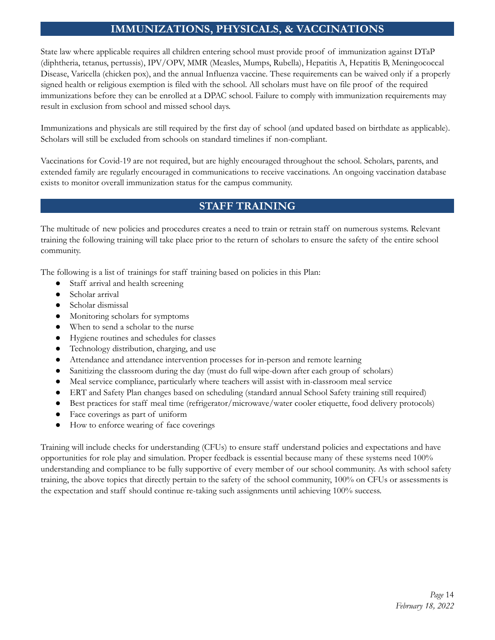# **IMMUNIZATIONS, PHYSICALS, & VACCINATIONS**

State law where applicable requires all children entering school must provide proof of immunization against DTaP (diphtheria, tetanus, pertussis), IPV/OPV, MMR (Measles, Mumps, Rubella), Hepatitis A, Hepatitis B, Meningococcal Disease, Varicella (chicken pox), and the annual Influenza vaccine. These requirements can be waived only if a properly signed health or religious exemption is filed with the school. All scholars must have on file proof of the required immunizations before they can be enrolled at a DPAC school. Failure to comply with immunization requirements may result in exclusion from school and missed school days.

Immunizations and physicals are still required by the first day of school (and updated based on birthdate as applicable). Scholars will still be excluded from schools on standard timelines if non-compliant.

Vaccinations for Covid-19 are not required, but are highly encouraged throughout the school. Scholars, parents, and extended family are regularly encouraged in communications to receive vaccinations. An ongoing vaccination database exists to monitor overall immunization status for the campus community.

# **STAFF TRAINING**

The multitude of new policies and procedures creates a need to train or retrain staff on numerous systems. Relevant training the following training will take place prior to the return of scholars to ensure the safety of the entire school community.

The following is a list of trainings for staff training based on policies in this Plan:

- Staff arrival and health screening
- Scholar arrival
- Scholar dismissal
- Monitoring scholars for symptoms
- When to send a scholar to the nurse
- Hygiene routines and schedules for classes
- Technology distribution, charging, and use
- Attendance and attendance intervention processes for in-person and remote learning
- Sanitizing the classroom during the day (must do full wipe-down after each group of scholars)
- Meal service compliance, particularly where teachers will assist with in-classroom meal service
- ERT and Safety Plan changes based on scheduling (standard annual School Safety training still required)
- Best practices for staff meal time (refrigerator/microwave/water cooler etiquette, food delivery protocols)
- Face coverings as part of uniform
- How to enforce wearing of face coverings

Training will include checks for understanding (CFUs) to ensure staff understand policies and expectations and have opportunities for role play and simulation. Proper feedback is essential because many of these systems need 100% understanding and compliance to be fully supportive of every member of our school community. As with school safety training, the above topics that directly pertain to the safety of the school community, 100% on CFUs or assessments is the expectation and staff should continue re-taking such assignments until achieving 100% success.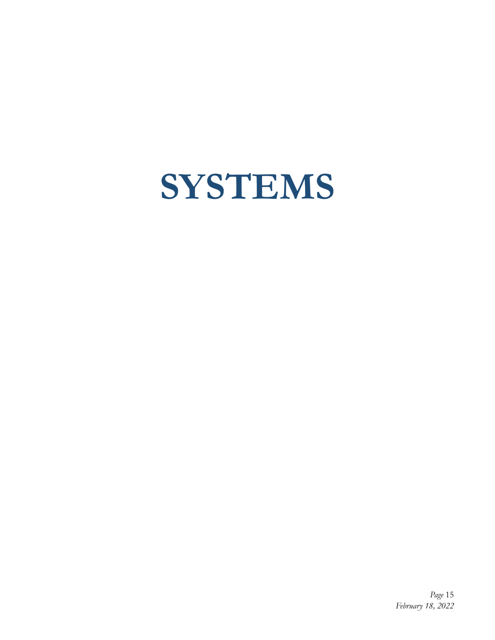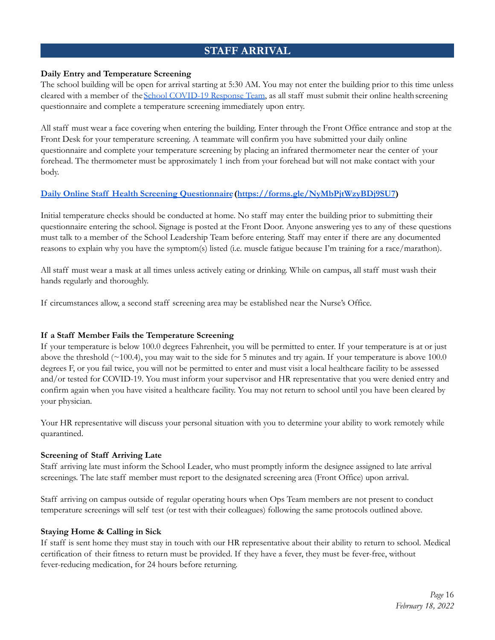# **STAFF ARRIVAL**

#### **Daily Entry and Temperature Screening**

The school building will be open for arrival starting at 5:30 AM. You may not enter the building prior to this time unless cleared with a member of theSchool COVID-19 Response Team, as all staff must submit their online healthscreening questionnaire and complete a temperature screening immediately upon entry.

All staff must wear a face covering when entering the building. Enter through the Front Office entrance and stop at the Front Desk for your temperature screening. A teammate will confirm you have submitted your daily online questionnaire and complete your temperature screening by placing an infrared thermometer near the center of your forehead. The thermometer must be approximately 1 inch from your forehead but will not make contact with your body.

#### **Daily Online Staff Health Screening Questionnaire(https://forms.gle/NyMbPjtWzyBDj9SU7)**

Initial temperature checks should be conducted at home. No staff may enter the building prior to submitting their questionnaire entering the school. Signage is posted at the Front Door. Anyone answering yes to any of these questions must talk to a member of the School Leadership Team before entering. Staff may enter if there are any documented reasons to explain why you have the symptom(s) listed (i.e. muscle fatigue because I'm training for a race/marathon).

All staff must wear a mask at all times unless actively eating or drinking. While on campus, all staff must wash their hands regularly and thoroughly.

If circumstances allow, a second staff screening area may be established near the Nurse's Office.

#### **If a Staff Member Fails the Temperature Screening**

If your temperature is below 100.0 degrees Fahrenheit, you will be permitted to enter. If your temperature is at or just above the threshold  $(\sim 100.4)$ , you may wait to the side for 5 minutes and try again. If your temperature is above 100.0 degrees F, or you fail twice, you will not be permitted to enter and must visit a local healthcare facility to be assessed and/or tested for COVID-19. You must inform your supervisor and HR representative that you were denied entry and confirm again when you have visited a healthcare facility. You may not return to school until you have been cleared by your physician.

Your HR representative will discuss your personal situation with you to determine your ability to work remotely while quarantined.

#### **Screening of Staff Arriving Late**

Staff arriving late must inform the School Leader, who must promptly inform the designee assigned to late arrival screenings. The late staff member must report to the designated screening area (Front Office) upon arrival.

Staff arriving on campus outside of regular operating hours when Ops Team members are not present to conduct temperature screenings will self test (or test with their colleagues) following the same protocols outlined above.

#### **Staying Home & Calling in Sick**

If staff is sent home they must stay in touch with our HR representative about their ability to return to school. Medical certification of their fitness to return must be provided. If they have a fever, they must be fever-free, without fever-reducing medication, for 24 hours before returning.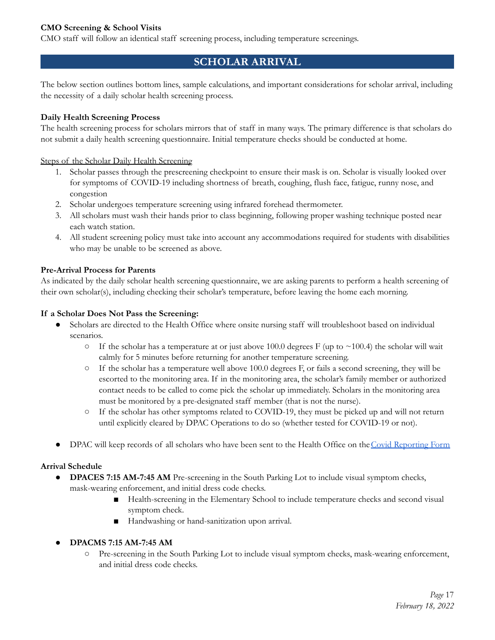#### **CMO Screening & School Visits**

CMO staff will follow an identical staff screening process, including temperature screenings.

# **SCHOLAR ARRIVAL**

The below section outlines bottom lines, sample calculations, and important considerations for scholar arrival, including the necessity of a daily scholar health screening process.

#### **Daily Health Screening Process**

The health screening process for scholars mirrors that of staff in many ways. The primary difference is that scholars do not submit a daily health screening questionnaire. Initial temperature checks should be conducted at home.

Steps of the Scholar Daily Health Screening

- 1. Scholar passes through the prescreening checkpoint to ensure their mask is on. Scholar is visually looked over for symptoms of COVID-19 including shortness of breath, coughing, flush face, fatigue, runny nose, and congestion
- 2. Scholar undergoes temperature screening using infrared forehead thermometer.
- 3. All scholars must wash their hands prior to class beginning, following proper washing technique posted near each watch station.
- 4. All student screening policy must take into account any accommodations required for students with disabilities who may be unable to be screened as above.

#### **Pre-Arrival Process for Parents**

As indicated by the daily scholar health screening questionnaire, we are asking parents to perform a health screening of their own scholar(s), including checking their scholar's temperature, before leaving the home each morning.

#### **If a Scholar Does Not Pass the Screening:**

- Scholars are directed to the Health Office where onsite nursing staff will troubleshoot based on individual scenarios.
	- $\circ$  If the scholar has a temperature at or just above 100.0 degrees F (up to ~100.4) the scholar will wait calmly for 5 minutes before returning for another temperature screening.
	- If the scholar has a temperature well above 100.0 degrees F, or fails a second screening, they will be escorted to the monitoring area. If in the monitoring area, the scholar's family member or authorized contact needs to be called to come pick the scholar up immediately. Scholars in the monitoring area must be monitored by a pre-designated staff member (that is not the nurse).
	- If the scholar has other symptoms related to COVID-19, they must be picked up and will not return until explicitly cleared by DPAC Operations to do so (whether tested for COVID-19 or not).
- DPAC will keep records of all scholars who have been sent to the Health Office on the Covid Reporting Form

#### **Arrival Schedule**

- **● DPACES 7:15 AM-7:45 AM** Pre-screening in the South Parking Lot to include visual symptom checks, mask-wearing enforcement, and initial dress code checks.
	- Health-screening in the Elementary School to include temperature checks and second visual symptom check.
	- Handwashing or hand-sanitization upon arrival.

#### **● DPACMS 7:15 AM-7:45 AM**

○ Pre-screening in the South Parking Lot to include visual symptom checks, mask-wearing enforcement, and initial dress code checks.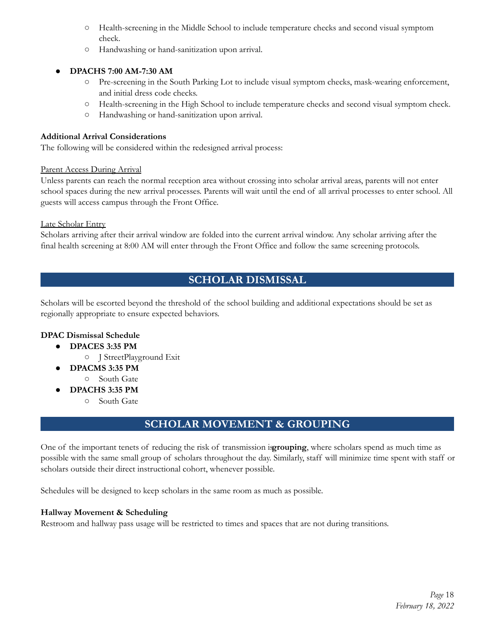- Health-screening in the Middle School to include temperature checks and second visual symptom check.
- Handwashing or hand-sanitization upon arrival.

#### **● DPACHS 7:00 AM-7:30 AM**

- Pre-screening in the South Parking Lot to include visual symptom checks, mask-wearing enforcement, and initial dress code checks.
- Health-screening in the High School to include temperature checks and second visual symptom check.
- Handwashing or hand-sanitization upon arrival.

#### **Additional Arrival Considerations**

The following will be considered within the redesigned arrival process:

#### Parent Access During Arrival

Unless parents can reach the normal reception area without crossing into scholar arrival areas, parents will not enter school spaces during the new arrival processes. Parents will wait until the end of all arrival processes to enter school. All guests will access campus through the Front Office.

Late Scholar Entry

Scholars arriving after their arrival window are folded into the current arrival window. Any scholar arriving after the final health screening at 8:00 AM will enter through the Front Office and follow the same screening protocols.

# **SCHOLAR DISMISSAL**

Scholars will be escorted beyond the threshold of the school building and additional expectations should be set as regionally appropriate to ensure expected behaviors.

#### **DPAC Dismissal Schedule**

- **● DPACES 3:35 PM**
	- J StreetPlayground Exit
	- **● DPACMS 3:35 PM**
	- South Gate
- **● DPACHS 3:35 PM**
	- South Gate

# **SCHOLAR MOVEMENT & GROUPING**

One of the important tenets of reducing the risk of transmission is**grouping**, where scholars spend as much time as possible with the same small group of scholars throughout the day. Similarly, staff will minimize time spent with staff or scholars outside their direct instructional cohort, whenever possible.

Schedules will be designed to keep scholars in the same room as much as possible.

#### **Hallway Movement & Scheduling**

Restroom and hallway pass usage will be restricted to times and spaces that are not during transitions.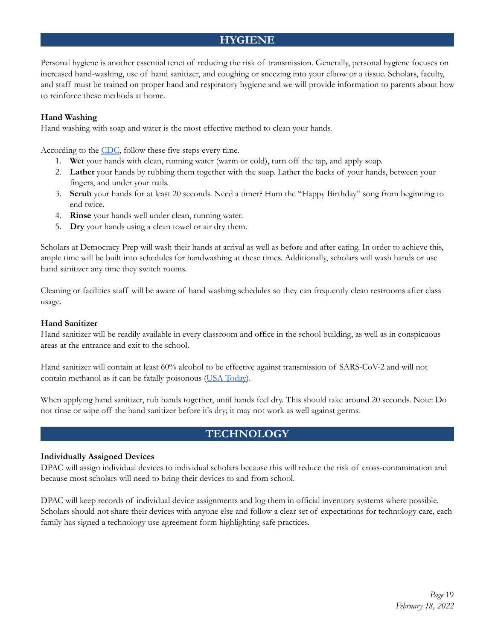# **HYGIENE**

Personal hygiene is another essential tenet of reducing the risk of transmission. Generally, personal hygiene focuses on increased hand-washing, use of hand sanitizer, and coughing or sneezing into your elbow or a tissue. Scholars, faculty, and staff must be trained on proper hand and respiratory hygiene and we will provide information to parents about how to reinforce these methods at home.

#### **Hand Washing**

Hand washing with soap and water is the most effective method to clean your hands.

According to the CDC, follow these five steps every time.

- 1. **Wet** your hands with clean, running water (warm or cold), turn off the tap, and apply soap.
- 2. **Lather** your hands by rubbing them together with the soap. Lather the backs of your hands, between your fingers, and under your nails.
- 3. **Scrub** your hands for at least 20 seconds. Need a timer? Hum the "Happy Birthday" song from beginning to end twice.
- 4. **Rinse** your hands well under clean, running water.
- 5. **Dry** your hands using a clean towel or air dry them.

Scholars at Democracy Prep will wash their hands at arrival as well as before and after eating. In order to achieve this, ample time will be built into schedules for handwashing at these times. Additionally, scholars will wash hands or use hand sanitizer any time they switch rooms.

Cleaning or facilities staff will be aware of hand washing schedules so they can frequently clean restrooms after class usage.

#### **Hand Sanitizer**

Hand sanitizer will be readily available in every classroom and office in the school building, as well as in conspicuous areas at the entrance and exit to the school.

Hand sanitizer will contain at least 60% alcohol to be effective against transmission of SARS-CoV-2 and will not contain methanol as it can be fatally poisonous (USA Today).

When applying hand sanitizer, rub hands together, until hands feel dry. This should take around 20 seconds. Note: Do not rinse or wipe off the hand sanitizer before it's dry; it may not work as well against germs.

# **TECHNOLOGY**

#### **Individually Assigned Devices**

DPAC will assign individual devices to individual scholars because this will reduce the risk of cross-contamination and because most scholars will need to bring their devices to and from school.

DPAC will keep records of individual device assignments and log them in official inventory systems where possible. Scholars should not share their devices with anyone else and follow a clear set of expectations for technology care, each family has signed a technology use agreement form highlighting safe practices.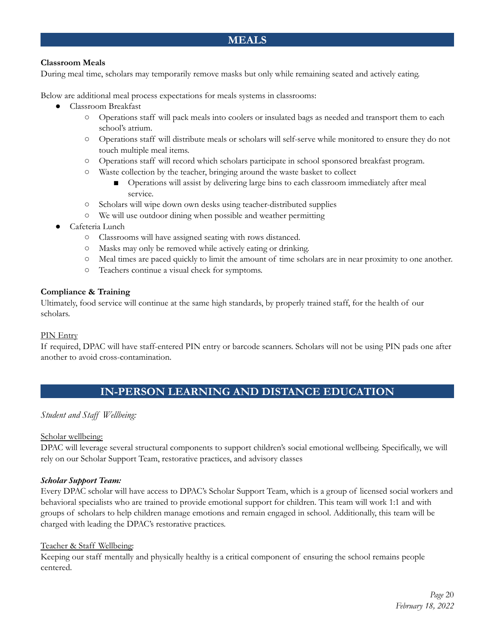# **MEALS**

#### **Classroom Meals**

During meal time, scholars may temporarily remove masks but only while remaining seated and actively eating.

Below are additional meal process expectations for meals systems in classrooms:

- Classroom Breakfast
	- Operations staff will pack meals into coolers or insulated bags as needed and transport them to each school's atrium.
	- Operations staff will distribute meals or scholars will self-serve while monitored to ensure they do not touch multiple meal items.
	- Operations staff will record which scholars participate in school sponsored breakfast program.
	- Waste collection by the teacher, bringing around the waste basket to collect
		- Operations will assist by delivering large bins to each classroom immediately after meal service.
	- Scholars will wipe down own desks using teacher-distributed supplies
	- We will use outdoor dining when possible and weather permitting
- Cafeteria Lunch
	- Classrooms will have assigned seating with rows distanced.
	- Masks may only be removed while actively eating or drinking.
	- Meal times are paced quickly to limit the amount of time scholars are in near proximity to one another.
	- Teachers continue a visual check for symptoms.

#### **Compliance & Training**

Ultimately, food service will continue at the same high standards, by properly trained staff, for the health of our scholars.

#### PIN Entry

If required, DPAC will have staff-entered PIN entry or barcode scanners. Scholars will not be using PIN pads one after another to avoid cross-contamination.

# **IN-PERSON LEARNING AND DISTANCE EDUCATION**

#### *Student and Staff Wellbeing:*

#### Scholar wellbeing:

DPAC will leverage several structural components to support children's social emotional wellbeing. Specifically, we will rely on our Scholar Support Team, restorative practices, and advisory classes

#### *Scholar Support Team:*

Every DPAC scholar will have access to DPAC's Scholar Support Team, which is a group of licensed social workers and behavioral specialists who are trained to provide emotional support for children. This team will work 1:1 and with groups of scholars to help children manage emotions and remain engaged in school. Additionally, this team will be charged with leading the DPAC's restorative practices.

#### Teacher & Staff Wellbeing:

Keeping our staff mentally and physically healthy is a critical component of ensuring the school remains people centered.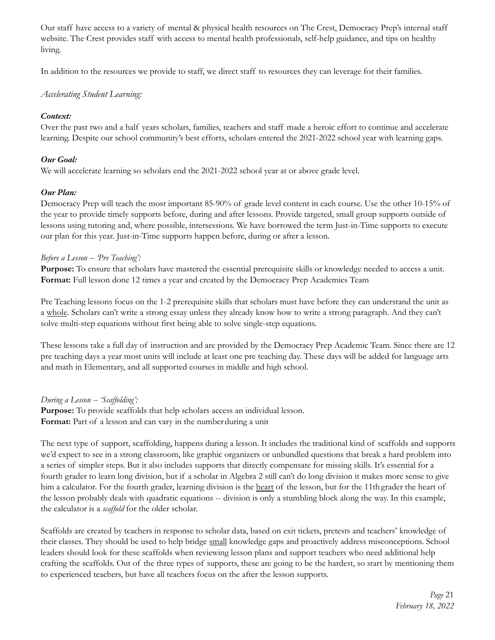Our staff have access to a variety of mental & physical health resources on The Crest, Democracy Prep's internal staff website. The Crest provides staff with access to mental health professionals, self-help guidance, and tips on healthy living.

In addition to the resources we provide to staff, we direct staff to resources they can leverage for their families.

#### *Accelerating Student Learning:*

#### *Context:*

Over the past two and a half years scholars, families, teachers and staff made a heroic effort to continue and accelerate learning. Despite our school community's best efforts, scholars entered the 2021-2022 school year with learning gaps.

#### *Our Goal:*

We will accelerate learning so scholars end the 2021-2022 school year at or above grade level.

#### *Our Plan:*

Democracy Prep will teach the most important 85-90% of grade level content in each course. Use the other 10-15% of the year to provide timely supports before, during and after lessons. Provide targeted, small group supports outside of lessons using tutoring and, where possible, intersessions. We have borrowed the term Just-in-Time supports to execute our plan for this year. Just-in-Time supports happen before, during or after a lesson.

#### *Before a Lesson -- 'Pre Teaching':*

**Purpose:** To ensure that scholars have mastered the essential prerequisite skills or knowledge needed to access a unit. **Format:** Full lesson done 12 times a year and created by the Democracy Prep Academics Team

Pre Teaching lessons focus on the 1-2 prerequisite skills that scholars must have before they can understand the unit as a whole. Scholars can't write a strong essay unless they already know how to write a strong paragraph. And they can't solve multi-step equations without first being able to solve single-step equations.

These lessons take a full day of instruction and are provided by the Democracy Prep Academic Team. Since there are 12 pre teaching days a year most units will include at least one pre teaching day. These days will be added for language arts and math in Elementary, and all supported courses in middle and high school.

#### *During a Lesson -- 'Scaf olding':*

**Purpose:** To provide scaffolds that help scholars access an individual lesson. **Format:** Part of a lesson and can vary in the numberduring a unit

The next type of support, scaffolding, happens during a lesson. It includes the traditional kind of scaffolds and supports we'd expect to see in a strong classroom, like graphic organizers or unbundled questions that break a hard problem into a series of simpler steps. But it also includes supports that directly compensate for missing skills. It's essential for a fourth grader to learn long division, but if a scholar in Algebra 2 still can't do long division it makes more sense to give him a calculator. For the fourth grader, learning division is the heart of the lesson, but for the 11th grader the heart of the lesson probably deals with quadratic equations -- division is only a stumbling block along the way. In this example, the calculator is a *scaffold* for the older scholar.

Scaffolds are created by teachers in response to scholar data, based on exit tickets, pretests and teachers' knowledge of their classes. They should be used to help bridge small knowledge gaps and proactively address misconceptions. School leaders should look for these scaffolds when reviewing lesson plans and support teachers who need additional help crafting the scaffolds. Out of the three types of supports, these are going to be the hardest, so start by mentioning them to experienced teachers, but have all teachers focus on the after the lesson supports.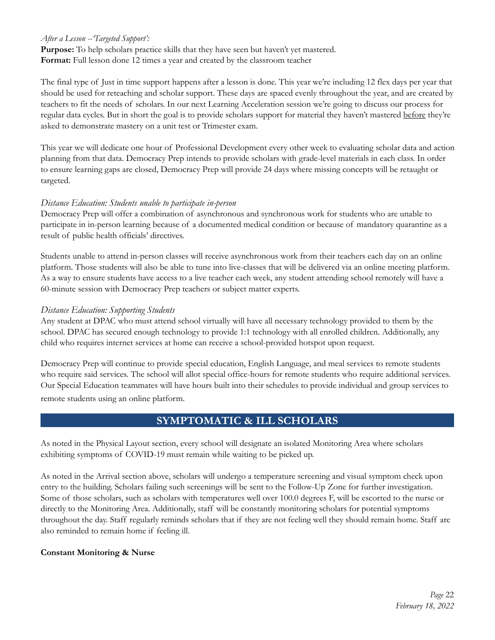#### *After a Lesson --'Targeted Support':*

**Purpose:** To help scholars practice skills that they have seen but haven't yet mastered. **Format:** Full lesson done 12 times a year and created by the classroom teacher

The final type of Just in time support happens after a lesson is done. This year we're including 12 flex days per year that should be used for reteaching and scholar support. These days are spaced evenly throughout the year, and are created by teachers to fit the needs of scholars. In our next Learning Acceleration session we're going to discuss our process for regular data cycles. But in short the goal is to provide scholars support for material they haven't mastered before they're asked to demonstrate mastery on a unit test or Trimester exam.

This year we will dedicate one hour of Professional Development every other week to evaluating scholar data and action planning from that data. Democracy Prep intends to provide scholars with grade-level materials in each class. In order to ensure learning gaps are closed, Democracy Prep will provide 24 days where missing concepts will be retaught or targeted.

#### *Distance Education: Students unable to participate in-person*

Democracy Prep will offer a combination of asynchronous and synchronous work for students who are unable to participate in in-person learning because of a documented medical condition or because of mandatory quarantine as a result of public health officials' directives.

Students unable to attend in-person classes will receive asynchronous work from their teachers each day on an online platform. Those students will also be able to tune into live-classes that will be delivered via an online meeting platform. As a way to ensure students have access to a live teacher each week, any student attending school remotely will have a 60-minute session with Democracy Prep teachers or subject matter experts.

#### *Distance Education: Supporting Students*

Any student at DPAC who must attend school virtually will have all necessary technology provided to them by the school. DPAC has secured enough technology to provide 1:1 technology with all enrolled children. Additionally, any child who requires internet services at home can receive a school-provided hotspot upon request.

Democracy Prep will continue to provide special education, English Language, and meal services to remote students who require said services. The school will allot special office-hours for remote students who require additional services. Our Special Education teammates will have hours built into their schedules to provide individual and group services to remote students using an online platform.

### **SYMPTOMATIC & ILL SCHOLARS**

As noted in the Physical Layout section, every school will designate an isolated Monitoring Area where scholars exhibiting symptoms of COVID-19 must remain while waiting to be picked up.

As noted in the Arrival section above, scholars will undergo a temperature screening and visual symptom check upon entry to the building. Scholars failing such screenings will be sent to the Follow-Up Zone for further investigation. Some of those scholars, such as scholars with temperatures well over 100.0 degrees F, will be escorted to the nurse or directly to the Monitoring Area. Additionally, staff will be constantly monitoring scholars for potential symptoms throughout the day. Staff regularly reminds scholars that if they are not feeling well they should remain home. Staff are also reminded to remain home if feeling ill.

#### **Constant Monitoring & Nurse**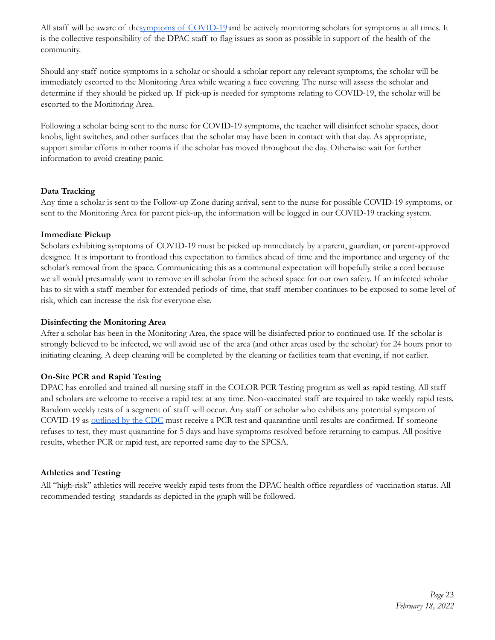All staff will be aware of thesymptoms of COVID-19 and be actively monitoring scholars for symptoms at all times. It is the collective responsibility of the DPAC staff to flag issues as soon as possible in support of the health of the community.

Should any staff notice symptoms in a scholar or should a scholar report any relevant symptoms, the scholar will be immediately escorted to the Monitoring Area while wearing a face covering. The nurse will assess the scholar and determine if they should be picked up. If pick-up is needed for symptoms relating to COVID-19, the scholar will be escorted to the Monitoring Area.

Following a scholar being sent to the nurse for COVID-19 symptoms, the teacher will disinfect scholar spaces, door knobs, light switches, and other surfaces that the scholar may have been in contact with that day. As appropriate, support similar efforts in other rooms if the scholar has moved throughout the day. Otherwise wait for further information to avoid creating panic.

#### **Data Tracking**

Any time a scholar is sent to the Follow-up Zone during arrival, sent to the nurse for possible COVID-19 symptoms, or sent to the Monitoring Area for parent pick-up, the information will be logged in our COVID-19 tracking system.

#### **Immediate Pickup**

Scholars exhibiting symptoms of COVID-19 must be picked up immediately by a parent, guardian, or parent-approved designee. It is important to frontload this expectation to families ahead of time and the importance and urgency of the scholar's removal from the space. Communicating this as a communal expectation will hopefully strike a cord because we all would presumably want to remove an ill scholar from the school space for our own safety. If an infected scholar has to sit with a staff member for extended periods of time, that staff member continues to be exposed to some level of risk, which can increase the risk for everyone else.

#### **Disinfecting the Monitoring Area**

After a scholar has been in the Monitoring Area, the space will be disinfected prior to continued use. If the scholar is strongly believed to be infected, we will avoid use of the area (and other areas used by the scholar) for 24 hours prior to initiating cleaning. A deep cleaning will be completed by the cleaning or facilities team that evening, if not earlier.

#### **On-Site PCR and Rapid Testing**

DPAC has enrolled and trained all nursing staff in the COLOR PCR Testing program as well as rapid testing. All staff and scholars are welcome to receive a rapid test at any time. Non-vaccinated staff are required to take weekly rapid tests. Random weekly tests of a segment of staff will occur. Any staff or scholar who exhibits any potential symptom of COVID-19 as outlined by the CDC must receive a PCR test and quarantine until results are confirmed. If someone refuses to test, they must quarantine for 5 days and have symptoms resolved before returning to campus. All positive results, whether PCR or rapid test, are reported same day to the SPCSA.

#### **Athletics and Testing**

All "high-risk" athletics will receive weekly rapid tests from the DPAC health office regardless of vaccination status. All recommended testing standards as depicted in the graph will be followed.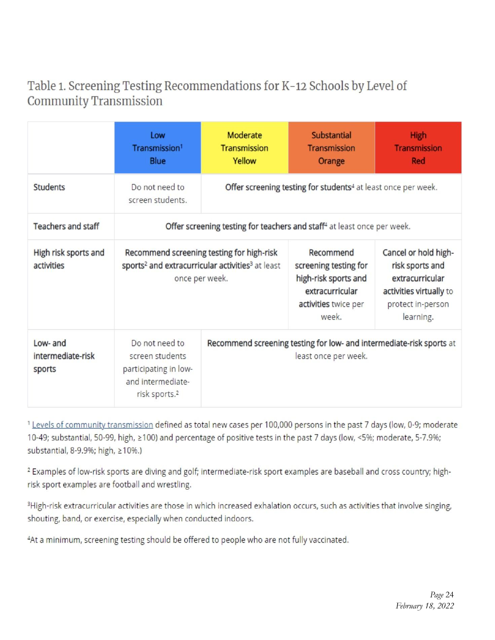# Table 1. Screening Testing Recommendations for K-12 Schools by Level of **Community Transmission**

|                                         | Low<br>Transmission <sup>1</sup><br><b>Blue</b>                                                                                         | Moderate<br><b>Transmission</b><br>Yellow | <b>Substantial</b><br><b>Transmission</b><br>Orange                                                            | <b>High</b><br><b>Transmission</b><br><b>Red</b>                                                                        |
|-----------------------------------------|-----------------------------------------------------------------------------------------------------------------------------------------|-------------------------------------------|----------------------------------------------------------------------------------------------------------------|-------------------------------------------------------------------------------------------------------------------------|
| <b>Students</b>                         | Do not need to<br>screen students.                                                                                                      |                                           | Offer screening testing for students <sup>4</sup> at least once per week.                                      |                                                                                                                         |
| <b>Teachers and staff</b>               |                                                                                                                                         |                                           | Offer screening testing for teachers and staff <sup>4</sup> at least once per week.                            |                                                                                                                         |
| High risk sports and<br>activities      | Recommend screening testing for high-risk<br>sports <sup>2</sup> and extracurricular activities <sup>3</sup> at least<br>once per week. |                                           | Recommend<br>screening testing for<br>high-risk sports and<br>extracurricular<br>activities twice per<br>week. | Cancel or hold high-<br>risk sports and<br>extracurricular<br>activities virtually to<br>protect in-person<br>learning. |
| Low- and<br>intermediate-risk<br>sports | Do not need to<br>screen students<br>participating in low-<br>and intermediate-<br>risk sports. <sup>2</sup>                            |                                           | Recommend screening testing for low- and intermediate-risk sports at<br>least once per week.                   |                                                                                                                         |

<sup>1</sup> Levels of community transmission defined as total new cases per 100,000 persons in the past 7 days (low, 0-9; moderate 10-49; substantial, 50-99, high, ≥100) and percentage of positive tests in the past 7 days (low, <5%; moderate, 5-7.9%; substantial, 8-9.9%; high, ≥10%.)

<sup>2</sup> Examples of low-risk sports are diving and golf; intermediate-risk sport examples are baseball and cross country; highrisk sport examples are football and wrestling.

<sup>3</sup>High-risk extracurricular activities are those in which increased exhalation occurs, such as activities that involve singing, shouting, band, or exercise, especially when conducted indoors.

<sup>4</sup>At a minimum, screening testing should be offered to people who are not fully vaccinated.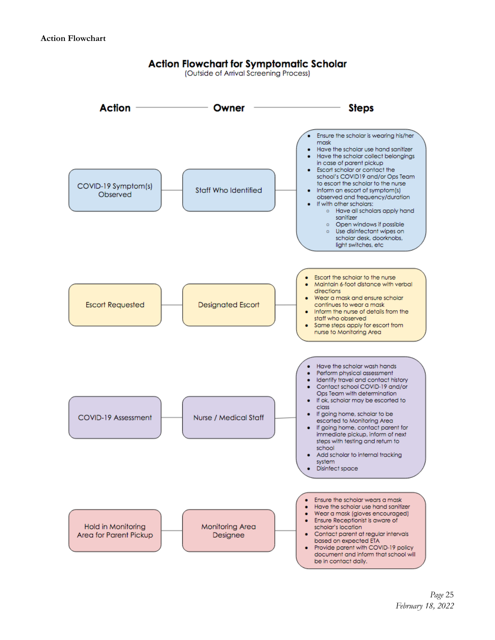# **Action Flowchart for Symptomatic Scholar**

(Outside of Arrival Screening Process)

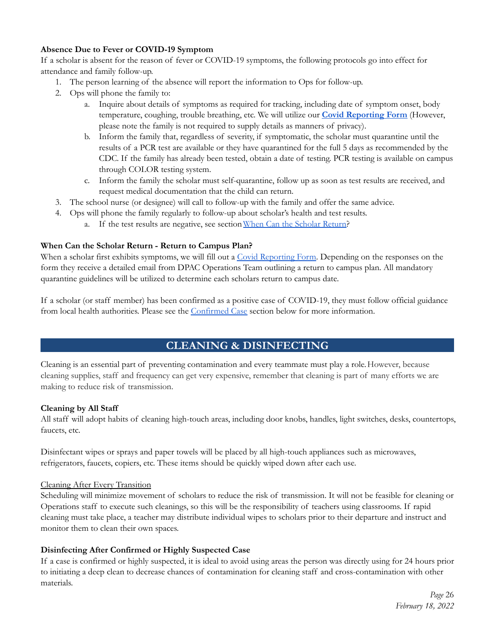#### **Absence Due to Fever or COVID-19 Symptom**

If a scholar is absent for the reason of fever or COVID-19 symptoms, the following protocols go into effect for attendance and family follow-up.

- 1. The person learning of the absence will report the information to Ops for follow-up.
- 2. Ops will phone the family to:
	- a. Inquire about details of symptoms as required for tracking, including date of symptom onset, body temperature, coughing, trouble breathing, etc. We will utilize our **Covid Reporting Form** (However, please note the family is not required to supply details as manners of privacy).
	- b. Inform the family that, regardless of severity, if symptomatic, the scholar must quarantine until the results of a PCR test are available or they have quarantined for the full 5 days as recommended by the CDC. If the family has already been tested, obtain a date of testing. PCR testing is available on campus through COLOR testing system.
	- c. Inform the family the scholar must self-quarantine, follow up as soon as test results are received, and request medical documentation that the child can return.
- 3. The school nurse (or designee) will call to follow-up with the family and offer the same advice.
- 4. Ops will phone the family regularly to follow-up about scholar's health and test results.
	- a. If the test results are negative, see section When Can the Scholar Return?

#### **When Can the Scholar Return - Return to Campus Plan?**

When a scholar first exhibits symptoms, we will fill out a Covid Reporting Form. Depending on the responses on the form they receive a detailed email from DPAC Operations Team outlining a return to campus plan. All mandatory quarantine guidelines will be utilized to determine each scholars return to campus date.

If a scholar (or staff member) has been confirmed as a positive case of COVID-19, they must follow official guidance from local health authorities. Please see the Confirmed Case section below for more information.

# **CLEANING & DISINFECTING**

Cleaning is an essential part of preventing contamination and every teammate must play a role.However, because cleaning supplies, staff and frequency can get very expensive, remember that cleaning is part of many efforts we are making to reduce risk of transmission.

#### **Cleaning by All Staff**

All staff will adopt habits of cleaning high-touch areas, including door knobs, handles, light switches, desks, countertops, faucets, etc.

Disinfectant wipes or sprays and paper towels will be placed by all high-touch appliances such as microwaves, refrigerators, faucets, copiers, etc. These items should be quickly wiped down after each use.

#### Cleaning After Every Transition

Scheduling will minimize movement of scholars to reduce the risk of transmission. It will not be feasible for cleaning or Operations staff to execute such cleanings, so this will be the responsibility of teachers using classrooms. If rapid cleaning must take place, a teacher may distribute individual wipes to scholars prior to their departure and instruct and monitor them to clean their own spaces.

#### **Disinfecting After Confirmed or Highly Suspected Case**

If a case is confirmed or highly suspected, it is ideal to avoid using areas the person was directly using for 24 hours prior to initiating a deep clean to decrease chances of contamination for cleaning staff and cross-contamination with other materials.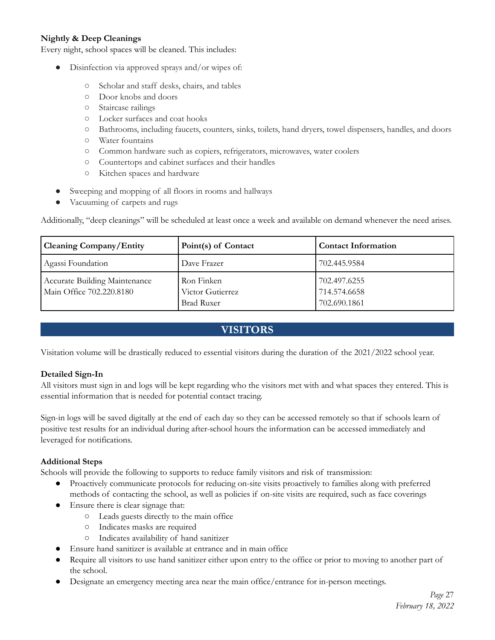#### **Nightly & Deep Cleanings**

Every night, school spaces will be cleaned. This includes:

- Disinfection via approved sprays and/or wipes of:
	- Scholar and staff desks, chairs, and tables
	- Door knobs and doors
	- Staircase railings
	- Locker surfaces and coat hooks
	- Bathrooms, including faucets, counters, sinks, toilets, hand dryers, towel dispensers, handles, and doors
	- Water fountains
	- Common hardware such as copiers, refrigerators, microwaves, water coolers
	- Countertops and cabinet surfaces and their handles
	- Kitchen spaces and hardware
- Sweeping and mopping of all floors in rooms and hallways
- Vacuuming of carpets and rugs

Additionally, "deep cleanings" will be scheduled at least once a week and available on demand whenever the need arises.

| <b>Cleaning Company/Entity</b>                            | Point(s) of Contact                                 | <b>Contact Information</b>                   |
|-----------------------------------------------------------|-----------------------------------------------------|----------------------------------------------|
| Agassi Foundation                                         | Dave Frazer                                         | 702.445.9584                                 |
| Accurate Building Maintenance<br>Main Office 702.220.8180 | Ron Finken<br>Victor Gutierrez<br><b>Brad Ruxer</b> | 702.497.6255<br>714.574.6658<br>702.690.1861 |

# **VISITORS**

Visitation volume will be drastically reduced to essential visitors during the duration of the 2021/2022 school year.

#### **Detailed Sign-In**

All visitors must sign in and logs will be kept regarding who the visitors met with and what spaces they entered. This is essential information that is needed for potential contact tracing.

Sign-in logs will be saved digitally at the end of each day so they can be accessed remotely so that if schools learn of positive test results for an individual during after-school hours the information can be accessed immediately and leveraged for notifications.

#### **Additional Steps**

Schools will provide the following to supports to reduce family visitors and risk of transmission:

- Proactively communicate protocols for reducing on-site visits proactively to families along with preferred methods of contacting the school, as well as policies if on-site visits are required, such as face coverings
- Ensure there is clear signage that:
	- Leads guests directly to the main office
	- Indicates masks are required
	- Indicates availability of hand sanitizer
- Ensure hand sanitizer is available at entrance and in main office
- Require all visitors to use hand sanitizer either upon entry to the office or prior to moving to another part of the school.
- Designate an emergency meeting area near the main office/entrance for in-person meetings.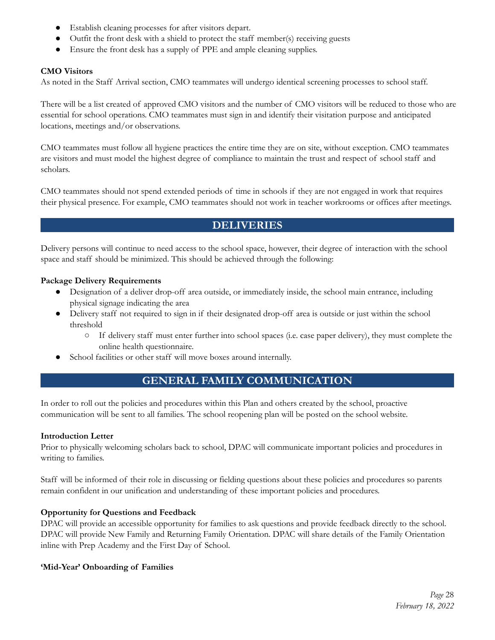- Establish cleaning processes for after visitors depart.
- Outfit the front desk with a shield to protect the staff member(s) receiving guests
- Ensure the front desk has a supply of PPE and ample cleaning supplies.

#### **CMO Visitors**

As noted in the Staff Arrival section, CMO teammates will undergo identical screening processes to school staff.

There will be a list created of approved CMO visitors and the number of CMO visitors will be reduced to those who are essential for school operations. CMO teammates must sign in and identify their visitation purpose and anticipated locations, meetings and/or observations.

CMO teammates must follow all hygiene practices the entire time they are on site, without exception. CMO teammates are visitors and must model the highest degree of compliance to maintain the trust and respect of school staff and scholars.

CMO teammates should not spend extended periods of time in schools if they are not engaged in work that requires their physical presence. For example, CMO teammates should not work in teacher workrooms or offices after meetings.

### **DELIVERIES**

Delivery persons will continue to need access to the school space, however, their degree of interaction with the school space and staff should be minimized. This should be achieved through the following:

#### **Package Delivery Requirements**

- Designation of a deliver drop-off area outside, or immediately inside, the school main entrance, including physical signage indicating the area
- Delivery staff not required to sign in if their designated drop-off area is outside or just within the school threshold
	- If delivery staff must enter further into school spaces (i.e. case paper delivery), they must complete the online health questionnaire.
- School facilities or other staff will move boxes around internally.

### **GENERAL FAMILY COMMUNICATION**

In order to roll out the policies and procedures within this Plan and others created by the school, proactive communication will be sent to all families. The school reopening plan will be posted on the school website.

#### **Introduction Letter**

Prior to physically welcoming scholars back to school, DPAC will communicate important policies and procedures in writing to families.

Staff will be informed of their role in discussing or fielding questions about these policies and procedures so parents remain confident in our unification and understanding of these important policies and procedures.

#### **Opportunity for Questions and Feedback**

DPAC will provide an accessible opportunity for families to ask questions and provide feedback directly to the school. DPAC will provide New Family and Returning Family Orientation. DPAC will share details of the Family Orientation inline with Prep Academy and the First Day of School.

#### **'Mid-Year' Onboarding of Families**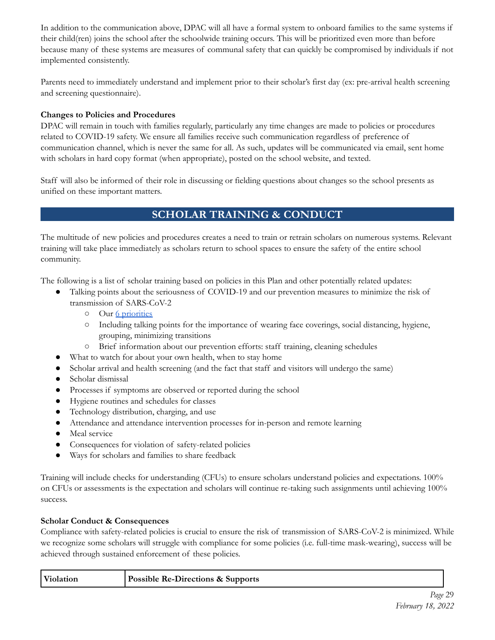In addition to the communication above, DPAC will all have a formal system to onboard families to the same systems if their child(ren) joins the school after the schoolwide training occurs. This will be prioritized even more than before because many of these systems are measures of communal safety that can quickly be compromised by individuals if not implemented consistently.

Parents need to immediately understand and implement prior to their scholar's first day (ex: pre-arrival health screening and screening questionnaire).

#### **Changes to Policies and Procedures**

DPAC will remain in touch with families regularly, particularly any time changes are made to policies or procedures related to COVID-19 safety. We ensure all families receive such communication regardless of preference of communication channel, which is never the same for all. As such, updates will be communicated via email, sent home with scholars in hard copy format (when appropriate), posted on the school website, and texted.

Staff will also be informed of their role in discussing or fielding questions about changes so the school presents as unified on these important matters.

# **SCHOLAR TRAINING & CONDUCT**

The multitude of new policies and procedures creates a need to train or retrain scholars on numerous systems. Relevant training will take place immediately as scholars return to school spaces to ensure the safety of the entire school community.

The following is a list of scholar training based on policies in this Plan and other potentially related updates:

- Talking points about the seriousness of COVID-19 and our prevention measures to minimize the risk of transmission of SARS-CoV-2
	- Our 6 priorities
	- Including talking points for the importance of wearing face coverings, social distancing, hygiene, grouping, minimizing transitions
	- Brief information about our prevention efforts: staff training, cleaning schedules
- What to watch for about your own health, when to stay home
- Scholar arrival and health screening (and the fact that staff and visitors will undergo the same)
- Scholar dismissal
- Processes if symptoms are observed or reported during the school
- Hygiene routines and schedules for classes
- Technology distribution, charging, and use
- Attendance and attendance intervention processes for in-person and remote learning
- Meal service
- Consequences for violation of safety-related policies
- Ways for scholars and families to share feedback

Training will include checks for understanding (CFUs) to ensure scholars understand policies and expectations. 100% on CFUs or assessments is the expectation and scholars will continue re-taking such assignments until achieving 100% success.

#### **Scholar Conduct & Consequences**

Compliance with safety-related policies is crucial to ensure the risk of transmission of SARS-CoV-2 is minimized. While we recognize some scholars will struggle with compliance for some policies (i.e. full-time mask-wearing), success will be achieved through sustained enforcement of these policies.

| <b>Possible Re-Directions &amp; Supports</b> |  |
|----------------------------------------------|--|
|                                              |  |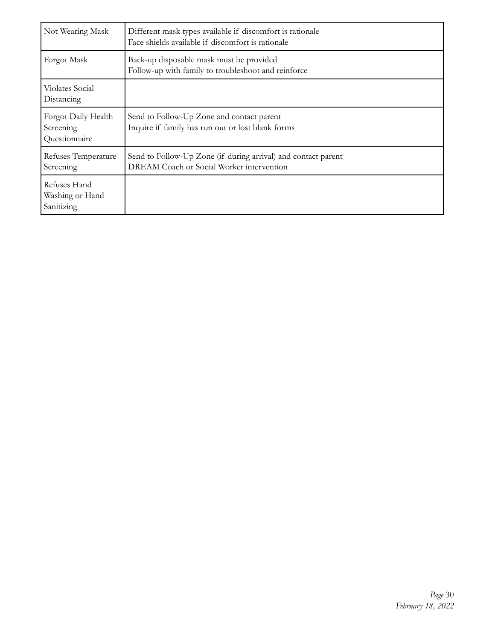| Not Wearing Mask                                  | Different mask types available if discomfort is rationale<br>Face shields available if discomfort is rationale |
|---------------------------------------------------|----------------------------------------------------------------------------------------------------------------|
| Forgot Mask                                       | Back-up disposable mask must be provided<br>Follow-up with family to troubleshoot and reinforce                |
| Violates Social<br>Distancing                     |                                                                                                                |
| Forgot Daily Health<br>Screening<br>Questionnaire | Send to Follow-Up Zone and contact parent<br>Inquire if family has run out or lost blank forms                 |
| Refuses Temperature<br>Screening                  | Send to Follow-Up Zone (if during arrival) and contact parent<br>DREAM Coach or Social Worker intervention     |
| Refuses Hand<br>Washing or Hand<br>Sanitizing     |                                                                                                                |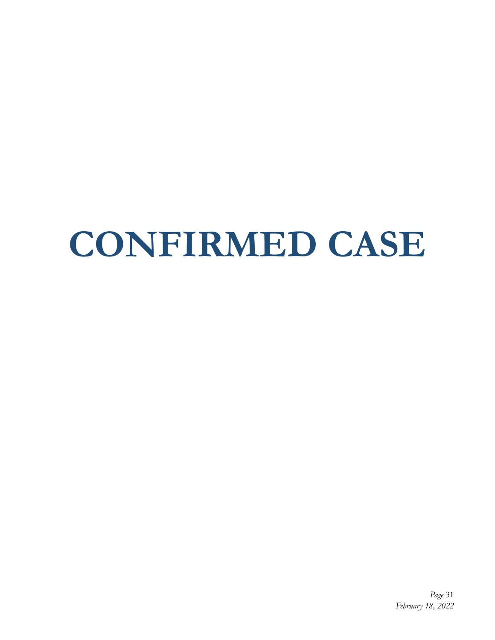# **CONFIRMED CASE**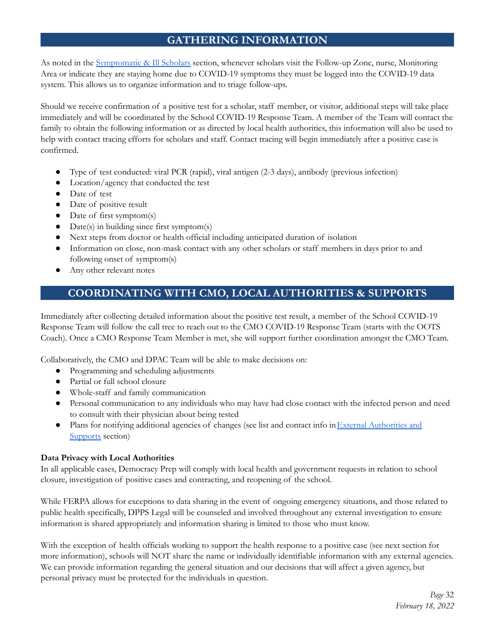# **GATHERING INFORMATION**

As noted in the Symptomatic & Ill Scholars section, whenever scholars visit the Follow-up Zone, nurse, Monitoring Area or indicate they are staying home due to COVID-19 symptoms they must be logged into the COVID-19 data system. This allows us to organize information and to triage follow-ups.

Should we receive confirmation of a positive test for a scholar, staff member, or visitor, additional steps will take place immediately and will be coordinated by the School COVID-19 Response Team. A member of the Team will contact the family to obtain the following information or as directed by local health authorities, this information will also be used to help with contact tracing efforts for scholars and staff. Contact tracing will begin immediately after a positive case is confirmed.

- Type of test conducted: viral PCR (rapid), viral antigen (2-3 days), antibody (previous infection)
- Location/agency that conducted the test
- Date of test
- Date of positive result
- Date of first symptom(s)
- Date(s) in building since first symptom(s)
- Next steps from doctor or health official including anticipated duration of isolation
- Information on close, non-mask contact with any other scholars or staff members in days prior to and following onset of symptom(s)
- Any other relevant notes

# **COORDINATING WITH CMO, LOCAL AUTHORITIES & SUPPORTS**

Immediately after collecting detailed information about the positive test result, a member of the School COVID-19 Response Team will follow the call tree to reach out to the CMO COVID-19 Response Team (starts with the OOTS Coach). Once a CMO Response Team Member is met, she will support further coordination amongst the CMO Team.

Collaboratively, the CMO and DPAC Team will be able to make decisions on:

- Programming and scheduling adjustments
- Partial or full school closure
- Whole-staff and family communication
- Personal communication to any individuals who may have had close contact with the infected person and need to consult with their physician about being tested
- Plans for notifying additional agencies of changes (see list and contact info in External Authorities and Supports section)

#### **Data Privacy with Local Authorities**

In all applicable cases, Democracy Prep will comply with local health and government requests in relation to school closure, investigation of positive cases and contracting, and reopening of the school.

While FERPA allows for exceptions to data sharing in the event of ongoing emergency situations, and those related to public health specifically, DPPS Legal will be counseled and involved throughout any external investigation to ensure information is shared appropriately and information sharing is limited to those who must know.

With the exception of health officials working to support the health response to a positive case (see next section for more information), schools will NOT share the name or individually identifiable information with any external agencies. We can provide information regarding the general situation and our decisions that will affect a given agency, but personal privacy must be protected for the individuals in question.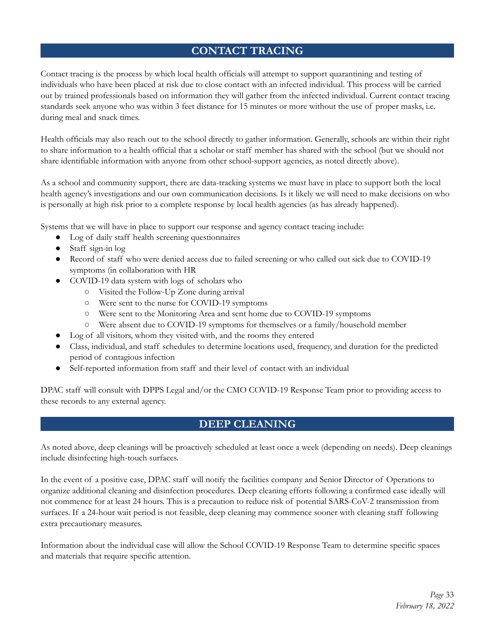# **CONTACT TRACING**

Contact tracing is the process by which local health officials will attempt to support quarantining and testing of individuals who have been placed at risk due to close contact with an infected individual. This process will be carried out by trained professionals based on information they will gather from the infected individual. Current contact tracing standards seek anyone who was within 3 feet distance for 15 minutes or more without the use of proper masks, i.e. during meal and snack times.

Health officials may also reach out to the school directly to gather information. Generally, schools are within their right to share information to a health official that a scholar or staff member has shared with the school (but we should not share identifiable information with anyone from other school-support agencies, as noted directly above).

As a school and community support, there are data-tracking systems we must have in place to support both the local health agency's investigations and our own communication decisions. Is it likely we will need to make decisions on who is personally at high risk prior to a complete response by local health agencies (as has already happened).

Systems that we will have in place to support our response and agency contact tracing include:

- Log of daily staff health screening questionnaires
- Staff sign-in log
- Record of staff who were denied access due to failed screening or who called out sick due to COVID-19 symptoms (in collaboration with HR
- COVID-19 data system with logs of scholars who
	- Visited the Follow-Up Zone during arrival
	- Were sent to the nurse for COVID-19 symptoms
	- Were sent to the Monitoring Area and sent home due to COVID-19 symptoms
	- Were absent due to COVID-19 symptoms for themselves or a family/household member
- Log of all visitors, whom they visited with, and the rooms they entered
- Class, individual, and staff schedules to determine locations used, frequency, and duration for the predicted period of contagious infection
- Self-reported information from staff and their level of contact with an individual

DPAC staff will consult with DPPS Legal and/or the CMO COVID-19 Response Team prior to providing access to these records to any external agency.

# **DEEP CLEANING**

As noted above, deep cleanings will be proactively scheduled at least once a week (depending on needs). Deep cleanings include disinfecting high-touch surfaces.

In the event of a positive case, DPAC staff will notify the facilities company and Senior Director of Operations to organize additional cleaning and disinfection procedures. Deep cleaning efforts following a confirmed case ideally will not commence for at least 24 hours. This is a precaution to reduce risk of potential SARS-CoV-2 transmission from surfaces. If a 24-hour wait period is not feasible, deep cleaning may commence sooner with cleaning staff following extra precautionary measures.

Information about the individual case will allow the School COVID-19 Response Team to determine specific spaces and materials that require specific attention.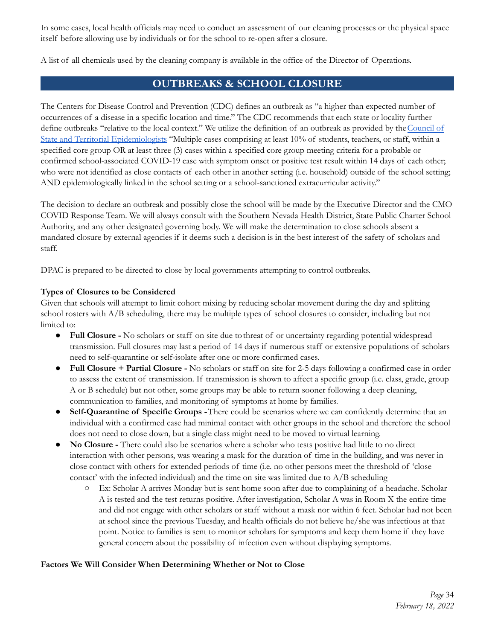In some cases, local health officials may need to conduct an assessment of our cleaning processes or the physical space itself before allowing use by individuals or for the school to re-open after a closure.

A list of all chemicals used by the cleaning company is available in the office of the Director of Operations.

### **OUTBREAKS & SCHOOL CLOSURE**

The Centers for Disease Control and Prevention (CDC) defines an outbreak as "a higher than expected number of occurrences of a disease in a specific location and time." The CDC recommends that each state or locality further define outbreaks "relative to the local context." We utilize the definition of an outbreak as provided by the Council of State and Territorial Epidemiologists "Multiple cases comprising at least 10% of students, teachers, or staff, within a specified core group OR at least three (3) cases within a specified core group meeting criteria for a probable or confirmed school-associated COVID-19 case with symptom onset or positive test result within 14 days of each other; who were not identified as close contacts of each other in another setting (i.e. household) outside of the school setting; AND epidemiologically linked in the school setting or a school-sanctioned extracurricular activity."

The decision to declare an outbreak and possibly close the school will be made by the Executive Director and the CMO COVID Response Team. We will always consult with the Southern Nevada Health District, State Public Charter School Authority, and any other designated governing body. We will make the determination to close schools absent a mandated closure by external agencies if it deems such a decision is in the best interest of the safety of scholars and staff.

DPAC is prepared to be directed to close by local governments attempting to control outbreaks.

#### **Types of Closures to be Considered**

Given that schools will attempt to limit cohort mixing by reducing scholar movement during the day and splitting school rosters with A/B scheduling, there may be multiple types of school closures to consider, including but not limited to:

- **Full Closure -** No scholars or staff on site due tothreat of or uncertainty regarding potential widespread transmission. Full closures may last a period of 14 days if numerous staff or extensive populations of scholars need to self-quarantine or self-isolate after one or more confirmed cases.
- **Full Closure + Partial Closure -** No scholars or staff on site for 2-5 days following a confirmed case in order to assess the extent of transmission. If transmission is shown to affect a specific group (i.e. class, grade, group A or B schedule) but not other, some groups may be able to return sooner following a deep cleaning, communication to families, and monitoring of symptoms at home by families.
- **Self-Quarantine of Specific Groups -**There could be scenarios where we can confidently determine that an individual with a confirmed case had minimal contact with other groups in the school and therefore the school does not need to close down, but a single class might need to be moved to virtual learning.
- **No Closure -** There could also be scenarios where a scholar who tests positive had little to no direct interaction with other persons, was wearing a mask for the duration of time in the building, and was never in close contact with others for extended periods of time (i.e. no other persons meet the threshold of 'close contact' with the infected individual) and the time on site was limited due to  $A/B$  scheduling
	- Ex: Scholar A arrives Monday but is sent home soon after due to complaining of a headache. Scholar A is tested and the test returns positive. After investigation, Scholar A was in Room X the entire time and did not engage with other scholars or staff without a mask nor within 6 feet. Scholar had not been at school since the previous Tuesday, and health officials do not believe he/she was infectious at that point. Notice to families is sent to monitor scholars for symptoms and keep them home if they have general concern about the possibility of infection even without displaying symptoms.

#### **Factors We Will Consider When Determining Whether or Not to Close**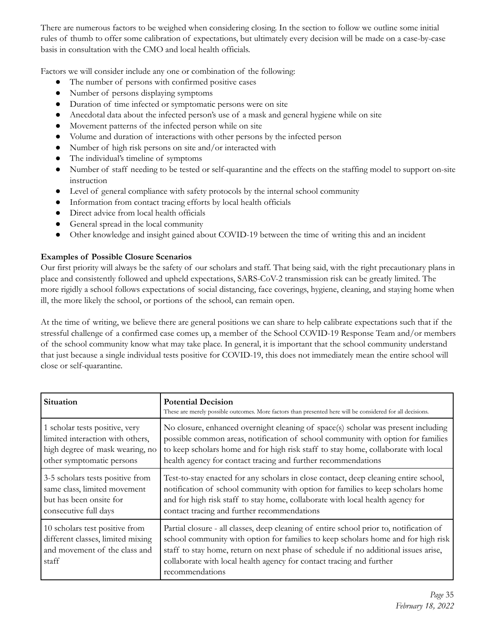There are numerous factors to be weighed when considering closing. In the section to follow we outline some initial rules of thumb to offer some calibration of expectations, but ultimately every decision will be made on a case-by-case basis in consultation with the CMO and local health officials.

Factors we will consider include any one or combination of the following:

- The number of persons with confirmed positive cases
- Number of persons displaying symptoms
- Duration of time infected or symptomatic persons were on site
- Anecdotal data about the infected person's use of a mask and general hygiene while on site
- Movement patterns of the infected person while on site
- Volume and duration of interactions with other persons by the infected person
- Number of high risk persons on site and/or interacted with
- The individual's timeline of symptoms
- Number of staff needing to be tested or self-quarantine and the effects on the staffing model to support on-site instruction
- Level of general compliance with safety protocols by the internal school community
- Information from contact tracing efforts by local health officials
- Direct advice from local health officials
- General spread in the local community
- Other knowledge and insight gained about COVID-19 between the time of writing this and an incident

#### **Examples of Possible Closure Scenarios**

Our first priority will always be the safety of our scholars and staff. That being said, with the right precautionary plans in place and consistently followed and upheld expectations, SARS-CoV-2 transmission risk can be greatly limited. The more rigidly a school follows expectations of social distancing, face coverings, hygiene, cleaning, and staying home when ill, the more likely the school, or portions of the school, can remain open.

At the time of writing, we believe there are general positions we can share to help calibrate expectations such that if the stressful challenge of a confirmed case comes up, a member of the School COVID-19 Response Team and/or members of the school community know what may take place. In general, it is important that the school community understand that just because a single individual tests positive for COVID-19, this does not immediately mean the entire school will close or self-quarantine.

| Situation                                                                                                     | <b>Potential Decision</b><br>These are merely possible outcomes. More factors than presented here will be considered for all decisions.                                                                                                                                                                                                                        |
|---------------------------------------------------------------------------------------------------------------|----------------------------------------------------------------------------------------------------------------------------------------------------------------------------------------------------------------------------------------------------------------------------------------------------------------------------------------------------------------|
| 1 scholar tests positive, very                                                                                | No closure, enhanced overnight cleaning of space(s) scholar was present including                                                                                                                                                                                                                                                                              |
| limited interaction with others,                                                                              | possible common areas, notification of school community with option for families                                                                                                                                                                                                                                                                               |
| high degree of mask wearing, no                                                                               | to keep scholars home and for high risk staff to stay home, collaborate with local                                                                                                                                                                                                                                                                             |
| other symptomatic persons                                                                                     | health agency for contact tracing and further recommendations                                                                                                                                                                                                                                                                                                  |
| 3-5 scholars tests positive from                                                                              | Test-to-stay enacted for any scholars in close contact, deep cleaning entire school,                                                                                                                                                                                                                                                                           |
| same class, limited movement                                                                                  | notification of school community with option for families to keep scholars home                                                                                                                                                                                                                                                                                |
| but has been onsite for                                                                                       | and for high risk staff to stay home, collaborate with local health agency for                                                                                                                                                                                                                                                                                 |
| consecutive full days                                                                                         | contact tracing and further recommendations                                                                                                                                                                                                                                                                                                                    |
| 10 scholars test positive from<br>different classes, limited mixing<br>and movement of the class and<br>staff | Partial closure - all classes, deep cleaning of entire school prior to, notification of<br>school community with option for families to keep scholars home and for high risk<br>staff to stay home, return on next phase of schedule if no additional issues arise,<br>collaborate with local health agency for contact tracing and further<br>recommendations |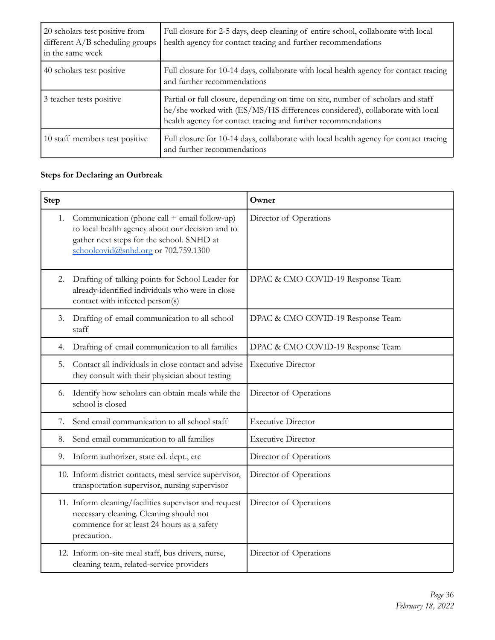| 20 scholars test positive from<br>different $A/B$ scheduling groups<br>in the same week | Full closure for 2-5 days, deep cleaning of entire school, collaborate with local<br>health agency for contact tracing and further recommendations                                                                                |
|-----------------------------------------------------------------------------------------|-----------------------------------------------------------------------------------------------------------------------------------------------------------------------------------------------------------------------------------|
| 40 scholars test positive                                                               | Full closure for 10-14 days, collaborate with local health agency for contact tracing<br>and further recommendations                                                                                                              |
| 3 teacher tests positive                                                                | Partial or full closure, depending on time on site, number of scholars and staff<br>he/she worked with (ES/MS/HS differences considered), collaborate with local<br>health agency for contact tracing and further recommendations |
| 10 staff members test positive                                                          | Full closure for 10-14 days, collaborate with local health agency for contact tracing<br>and further recommendations                                                                                                              |

# **Steps for Declaring an Outbreak**

| <b>Step</b> |                                                                                                                                                                                       | Owner                             |
|-------------|---------------------------------------------------------------------------------------------------------------------------------------------------------------------------------------|-----------------------------------|
| 1.          | Communication (phone call + email follow-up)<br>to local health agency about our decision and to<br>gather next steps for the school. SNHD at<br>schoolcovid@snhd.org or 702.759.1300 | Director of Operations            |
| 2.          | Drafting of talking points for School Leader for<br>already-identified individuals who were in close<br>contact with infected person(s)                                               | DPAC & CMO COVID-19 Response Team |
| 3.          | Drafting of email communication to all school<br>staff                                                                                                                                | DPAC & CMO COVID-19 Response Team |
| 4.          | Drafting of email communication to all families                                                                                                                                       | DPAC & CMO COVID-19 Response Team |
| 5.          | Contact all individuals in close contact and advise<br>they consult with their physician about testing                                                                                | <b>Executive Director</b>         |
| 6.          | Identify how scholars can obtain meals while the<br>school is closed                                                                                                                  | Director of Operations            |
| 7.          | Send email communication to all school staff                                                                                                                                          | <b>Executive Director</b>         |
| 8.          | Send email communication to all families                                                                                                                                              | <b>Executive Director</b>         |
| 9.          | Inform authorizer, state ed. dept., etc                                                                                                                                               | Director of Operations            |
|             | 10. Inform district contacts, meal service supervisor,<br>transportation supervisor, nursing supervisor                                                                               | Director of Operations            |
|             | 11. Inform cleaning/facilities supervisor and request<br>necessary cleaning. Cleaning should not<br>commence for at least 24 hours as a safety<br>precaution.                         | Director of Operations            |
|             | 12. Inform on-site meal staff, bus drivers, nurse,<br>cleaning team, related-service providers                                                                                        | Director of Operations            |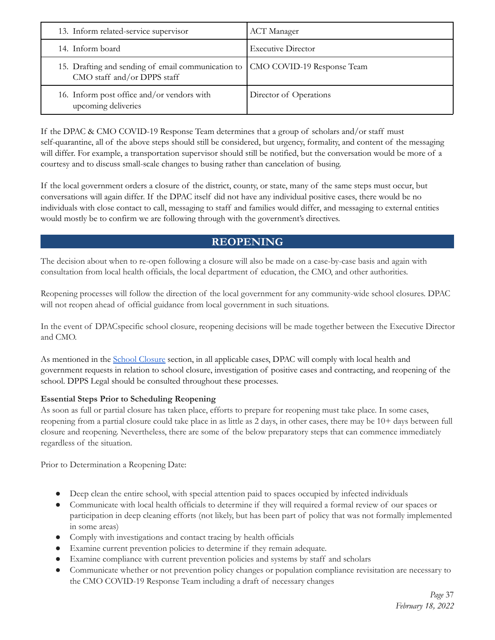| 13. Inform related-service supervisor                                                                          | <b>ACT</b> Manager        |
|----------------------------------------------------------------------------------------------------------------|---------------------------|
| 14. Inform board                                                                                               | <b>Executive Director</b> |
| 15. Drafting and sending of email communication to   CMO COVID-19 Response Team<br>CMO staff and/or DPPS staff |                           |
| 16. Inform post office and/or vendors with<br>upcoming deliveries                                              | Director of Operations    |

If the DPAC & CMO COVID-19 Response Team determines that a group of scholars and/or staff must self-quarantine, all of the above steps should still be considered, but urgency, formality, and content of the messaging will differ. For example, a transportation supervisor should still be notified, but the conversation would be more of a courtesy and to discuss small-scale changes to busing rather than cancelation of busing.

If the local government orders a closure of the district, county, or state, many of the same steps must occur, but conversations will again differ. If the DPAC itself did not have any individual positive cases, there would be no individuals with close contact to call, messaging to staff and families would differ, and messaging to external entities would mostly be to confirm we are following through with the government's directives.

# **REOPENING**

The decision about when to re-open following a closure will also be made on a case-by-case basis and again with consultation from local health officials, the local department of education, the CMO, and other authorities.

Reopening processes will follow the direction of the local government for any community-wide school closures. DPAC will not reopen ahead of official guidance from local government in such situations.

In the event of DPACspecific school closure, reopening decisions will be made together between the Executive Director and CMO.

As mentioned in the School Closure section, in all applicable cases, DPAC will comply with local health and government requests in relation to school closure, investigation of positive cases and contracting, and reopening of the school. DPPS Legal should be consulted throughout these processes.

#### **Essential Steps Prior to Scheduling Reopening**

As soon as full or partial closure has taken place, efforts to prepare for reopening must take place. In some cases, reopening from a partial closure could take place in as little as 2 days, in other cases, there may be 10+ days between full closure and reopening. Nevertheless, there are some of the below preparatory steps that can commence immediately regardless of the situation.

Prior to Determination a Reopening Date:

- Deep clean the entire school, with special attention paid to spaces occupied by infected individuals
- Communicate with local health officials to determine if they will required a formal review of our spaces or participation in deep cleaning efforts (not likely, but has been part of policy that was not formally implemented in some areas)
- Comply with investigations and contact tracing by health officials
- Examine current prevention policies to determine if they remain adequate.
- Examine compliance with current prevention policies and systems by staff and scholars
- Communicate whether or not prevention policy changes or population compliance revisitation are necessary to the CMO COVID-19 Response Team including a draft of necessary changes